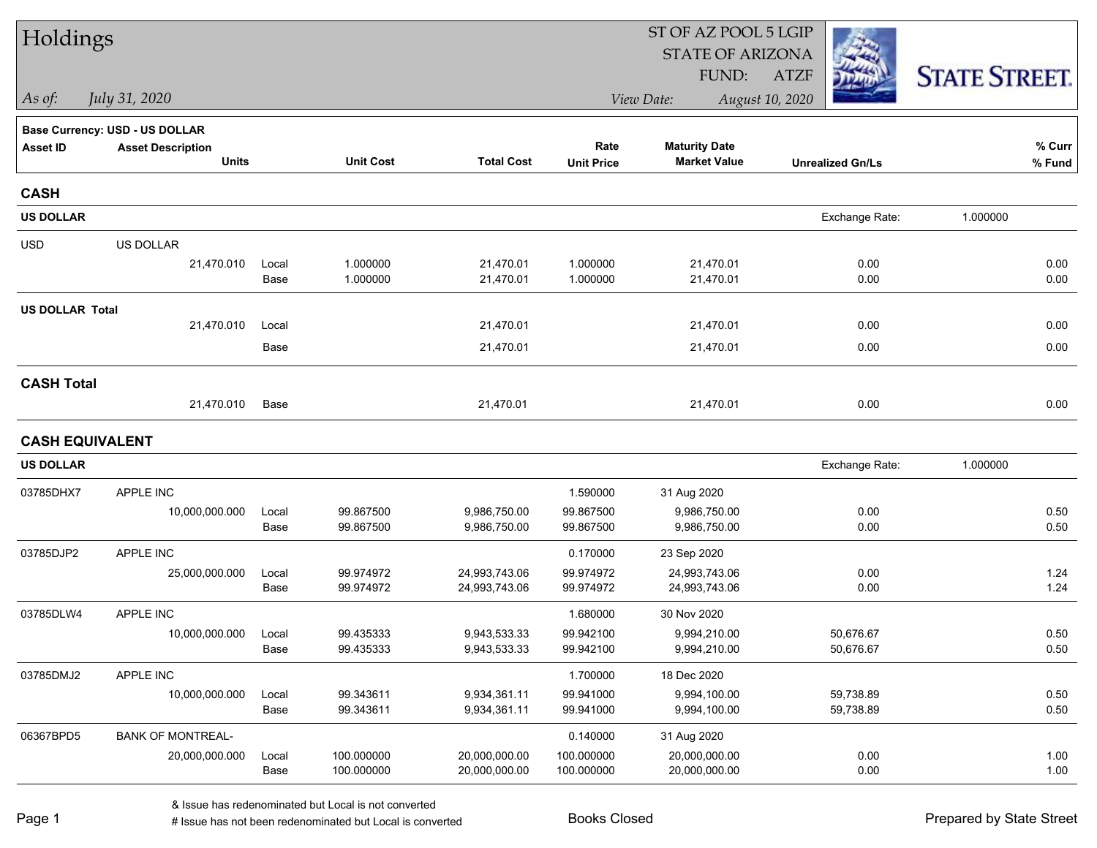| Holdings               |                                |               |                        |                                | ST OF AZ POOL 5 LGIP   |                                |                         |                      |  |  |
|------------------------|--------------------------------|---------------|------------------------|--------------------------------|------------------------|--------------------------------|-------------------------|----------------------|--|--|
|                        |                                |               |                        |                                |                        | <b>STATE OF ARIZONA</b>        |                         |                      |  |  |
|                        |                                |               |                        |                                |                        | FUND:                          | <b>ATZF</b>             | <b>STATE STREET.</b> |  |  |
| $\vert$ As of:         | July 31, 2020                  |               |                        |                                |                        | View Date:                     | August 10, 2020         |                      |  |  |
|                        | Base Currency: USD - US DOLLAR |               |                        |                                |                        |                                |                         |                      |  |  |
| <b>Asset ID</b>        | <b>Asset Description</b>       |               |                        |                                | Rate                   | <b>Maturity Date</b>           |                         | % Curr               |  |  |
|                        | <b>Units</b>                   |               | <b>Unit Cost</b>       | <b>Total Cost</b>              | <b>Unit Price</b>      | <b>Market Value</b>            | <b>Unrealized Gn/Ls</b> | % Fund               |  |  |
| <b>CASH</b>            |                                |               |                        |                                |                        |                                |                         |                      |  |  |
| <b>US DOLLAR</b>       |                                |               |                        |                                |                        |                                | Exchange Rate:          | 1.000000             |  |  |
| <b>USD</b>             | US DOLLAR                      |               |                        |                                |                        |                                |                         |                      |  |  |
|                        | 21,470.010                     | Local         | 1.000000               | 21,470.01                      | 1.000000               | 21,470.01                      | 0.00                    | 0.00                 |  |  |
|                        |                                | Base          | 1.000000               | 21,470.01                      | 1.000000               | 21,470.01                      | 0.00                    | 0.00                 |  |  |
| <b>US DOLLAR Total</b> |                                |               |                        |                                |                        |                                |                         |                      |  |  |
|                        | 21,470.010                     | Local         |                        | 21,470.01                      |                        | 21,470.01                      | 0.00                    | 0.00                 |  |  |
|                        |                                | Base          |                        | 21,470.01                      |                        | 21,470.01                      | 0.00                    | 0.00                 |  |  |
| <b>CASH Total</b>      |                                |               |                        |                                |                        |                                |                         |                      |  |  |
|                        | 21,470.010                     | Base          |                        | 21,470.01                      |                        | 21,470.01                      | 0.00                    | 0.00                 |  |  |
| <b>CASH EQUIVALENT</b> |                                |               |                        |                                |                        |                                |                         |                      |  |  |
| <b>US DOLLAR</b>       |                                |               |                        |                                |                        |                                | Exchange Rate:          | 1.000000             |  |  |
| 03785DHX7              | APPLE INC                      |               |                        |                                | 1.590000               | 31 Aug 2020                    |                         |                      |  |  |
|                        | 10,000,000.000                 | Local         | 99.867500              | 9,986,750.00                   | 99.867500              | 9,986,750.00                   | 0.00                    | 0.50                 |  |  |
|                        |                                | Base          | 99.867500              | 9,986,750.00                   | 99.867500              | 9,986,750.00                   | 0.00                    | 0.50                 |  |  |
| 03785DJP2              | APPLE INC                      |               |                        |                                | 0.170000               | 23 Sep 2020                    |                         |                      |  |  |
|                        | 25,000,000.000                 | Local<br>Base | 99.974972<br>99.974972 | 24,993,743.06<br>24,993,743.06 | 99.974972<br>99.974972 | 24,993,743.06<br>24,993,743.06 | 0.00<br>0.00            | 1.24<br>1.24         |  |  |
|                        |                                |               |                        |                                |                        |                                |                         |                      |  |  |
| 03785DLW4              | APPLE INC                      |               |                        |                                | 1.680000               | 30 Nov 2020                    |                         |                      |  |  |
|                        | 10,000,000.000                 | Local<br>Base | 99.435333<br>99.435333 | 9,943,533.33<br>9,943,533.33   | 99.942100<br>99.942100 | 9,994,210.00<br>9,994,210.00   | 50,676.67<br>50,676.67  | 0.50<br>0.50         |  |  |
| 03785DMJ2              | APPLE INC                      |               |                        |                                | 1.700000               | 18 Dec 2020                    |                         |                      |  |  |
|                        | 10,000,000.000                 | Local         | 99.343611              | 9,934,361.11                   | 99.941000              | 9,994,100.00                   | 59,738.89               | 0.50                 |  |  |
|                        |                                | Base          | 99.343611              | 9,934,361.11                   | 99.941000              | 9,994,100.00                   | 59,738.89               | 0.50                 |  |  |
| 06367BPD5              | <b>BANK OF MONTREAL-</b>       |               |                        |                                | 0.140000               | 31 Aug 2020                    |                         |                      |  |  |
|                        | 20,000,000.000                 | Local         | 100.000000             | 20,000,000.00                  | 100.000000             | 20,000,000.00                  | 0.00                    | 1.00                 |  |  |
|                        |                                | Base          | 100.000000             | 20,000,000.00                  | 100.000000             | 20,000,000.00                  | 0.00                    | 1.00                 |  |  |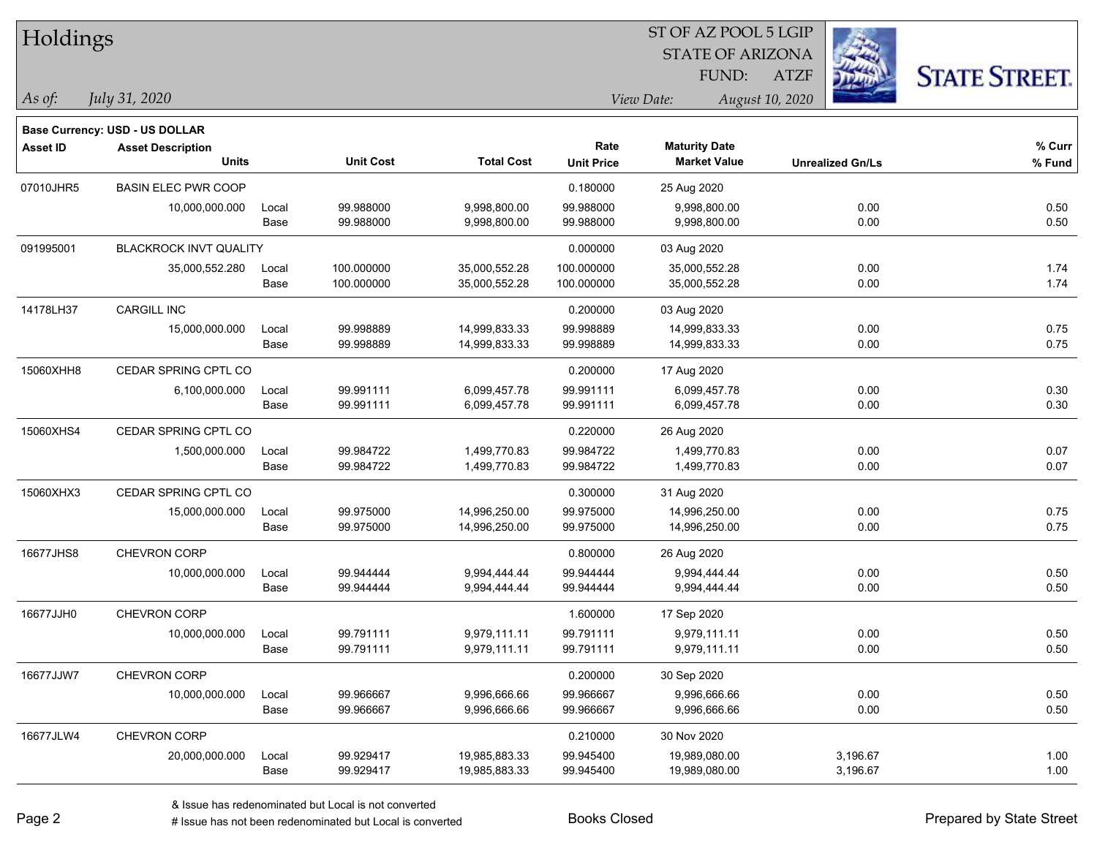| Holdings        |                                       |       |                  |                   |                   | ST OF AZ POOL 5 LGIP    |                 |                         |                      |
|-----------------|---------------------------------------|-------|------------------|-------------------|-------------------|-------------------------|-----------------|-------------------------|----------------------|
|                 |                                       |       |                  |                   |                   | <b>STATE OF ARIZONA</b> |                 |                         |                      |
|                 |                                       |       |                  |                   |                   | FUND:                   | <b>ATZF</b>     |                         | <b>STATE STREET.</b> |
| As of:          | July 31, 2020                         |       |                  |                   |                   | View Date:              | August 10, 2020 |                         |                      |
|                 | <b>Base Currency: USD - US DOLLAR</b> |       |                  |                   |                   |                         |                 |                         |                      |
| <b>Asset ID</b> | <b>Asset Description</b>              |       |                  |                   | Rate              | <b>Maturity Date</b>    |                 |                         | % Curr               |
|                 | <b>Units</b>                          |       | <b>Unit Cost</b> | <b>Total Cost</b> | <b>Unit Price</b> | <b>Market Value</b>     |                 | <b>Unrealized Gn/Ls</b> | % Fund               |
| 07010JHR5       | <b>BASIN ELEC PWR COOP</b>            |       |                  |                   | 0.180000          | 25 Aug 2020             |                 |                         |                      |
|                 | 10,000,000.000                        | Local | 99.988000        | 9,998,800.00      | 99.988000         | 9,998,800.00            |                 | 0.00                    | 0.50                 |
|                 |                                       | Base  | 99.988000        | 9,998,800.00      | 99.988000         | 9,998,800.00            |                 | 0.00                    | 0.50                 |
| 091995001       | BLACKROCK INVT QUALITY                |       |                  |                   | 0.000000          | 03 Aug 2020             |                 |                         |                      |
|                 | 35,000,552.280                        | Local | 100.000000       | 35,000,552.28     | 100.000000        | 35,000,552.28           |                 | 0.00                    | 1.74                 |
|                 |                                       | Base  | 100.000000       | 35,000,552.28     | 100.000000        | 35,000,552.28           |                 | 0.00                    | 1.74                 |
| 14178LH37       | <b>CARGILL INC</b>                    |       |                  |                   | 0.200000          | 03 Aug 2020             |                 |                         |                      |
|                 | 15,000,000.000                        | Local | 99.998889        | 14,999,833.33     | 99.998889         | 14,999,833.33           |                 | 0.00                    | 0.75                 |
|                 |                                       | Base  | 99.998889        | 14,999,833.33     | 99.998889         | 14,999,833.33           |                 | 0.00                    | 0.75                 |
| 15060XHH8       | CEDAR SPRING CPTL CO                  |       |                  |                   | 0.200000          | 17 Aug 2020             |                 |                         |                      |
|                 | 6,100,000.000                         | Local | 99.991111        | 6,099,457.78      | 99.991111         | 6,099,457.78            |                 | 0.00                    | 0.30                 |
|                 |                                       | Base  | 99.991111        | 6,099,457.78      | 99.991111         | 6,099,457.78            |                 | 0.00                    | 0.30                 |
| 15060XHS4       | CEDAR SPRING CPTL CO                  |       |                  |                   | 0.220000          | 26 Aug 2020             |                 |                         |                      |
|                 | 1,500,000.000                         | Local | 99.984722        | 1,499,770.83      | 99.984722         | 1,499,770.83            |                 | 0.00                    | 0.07                 |
|                 |                                       | Base  | 99.984722        | 1,499,770.83      | 99.984722         | 1,499,770.83            |                 | 0.00                    | 0.07                 |
| 15060XHX3       | CEDAR SPRING CPTL CO                  |       |                  |                   | 0.300000          | 31 Aug 2020             |                 |                         |                      |
|                 | 15,000,000.000                        | Local | 99.975000        | 14,996,250.00     | 99.975000         | 14,996,250.00           |                 | 0.00                    | 0.75                 |
|                 |                                       | Base  | 99.975000        | 14,996,250.00     | 99.975000         | 14,996,250.00           |                 | 0.00                    | 0.75                 |
| 16677JHS8       | <b>CHEVRON CORP</b>                   |       |                  |                   | 0.800000          | 26 Aug 2020             |                 |                         |                      |
|                 | 10,000,000.000                        | Local | 99.944444        | 9,994,444.44      | 99.944444         | 9,994,444.44            |                 | 0.00                    | 0.50                 |
|                 |                                       | Base  | 99.944444        | 9,994,444.44      | 99.944444         | 9,994,444.44            |                 | 0.00                    | 0.50                 |
| 16677JJH0       | CHEVRON CORP                          |       |                  |                   | 1.600000          | 17 Sep 2020             |                 |                         |                      |
|                 | 10,000,000.000                        | Local | 99.791111        | 9,979,111.11      | 99.791111         | 9,979,111.11            |                 | 0.00                    | 0.50                 |
|                 |                                       | Base  | 99.791111        | 9,979,111.11      | 99.791111         | 9,979,111.11            |                 | 0.00                    | 0.50                 |
| 16677JJW7       | CHEVRON CORP                          |       |                  |                   | 0.200000          | 30 Sep 2020             |                 |                         |                      |
|                 | 10,000,000.000                        | Local | 99.966667        | 9,996,666.66      | 99.966667         | 9,996,666.66            |                 | 0.00                    | 0.50                 |
|                 |                                       | Base  | 99.966667        | 9,996,666.66      | 99.966667         | 9,996,666.66            |                 | 0.00                    | 0.50                 |
| 16677JLW4       | CHEVRON CORP                          |       |                  |                   | 0.210000          | 30 Nov 2020             |                 |                         |                      |
|                 | 20,000,000.000                        | Local | 99.929417        | 19,985,883.33     | 99.945400         | 19,989,080.00           |                 | 3,196.67                | 1.00                 |
|                 |                                       | Base  | 99.929417        | 19,985,883.33     | 99.945400         | 19,989,080.00           |                 | 3,196.67                | 1.00                 |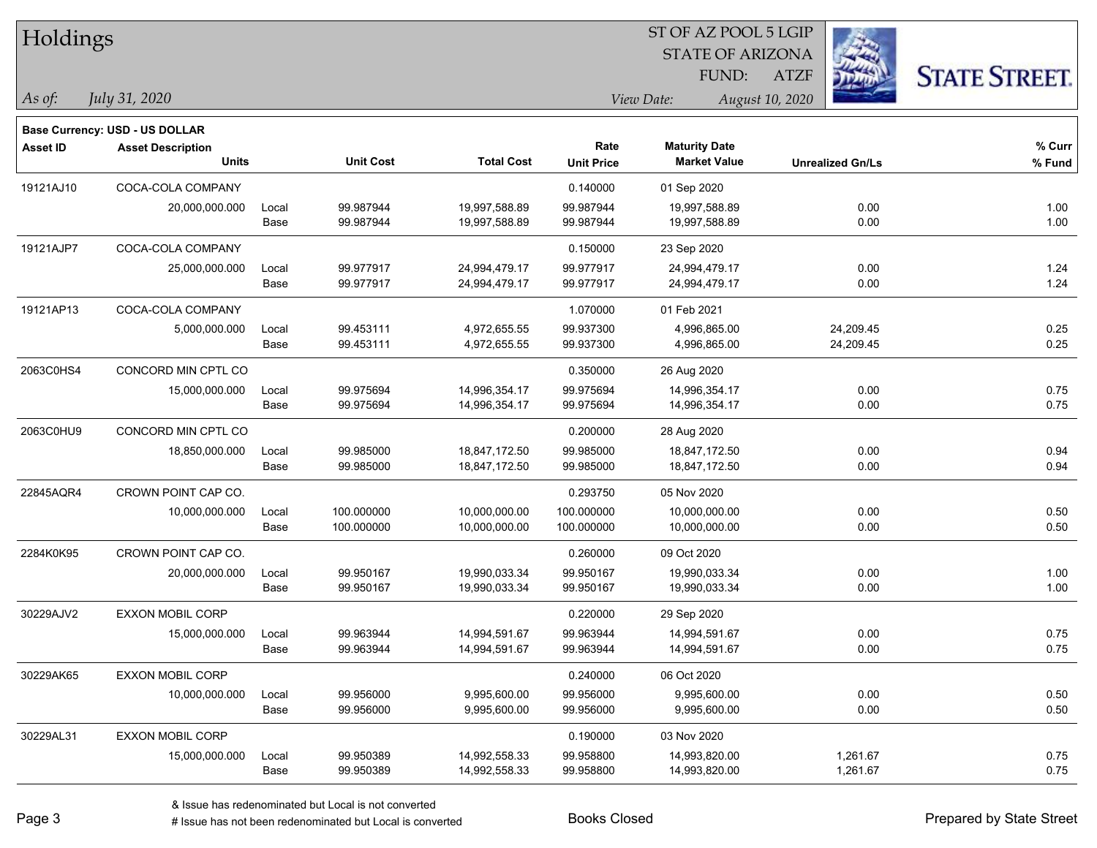| Holdings        |                                          |       |                  |                   |                   |                                             |                         |                      |
|-----------------|------------------------------------------|-------|------------------|-------------------|-------------------|---------------------------------------------|-------------------------|----------------------|
|                 |                                          |       |                  |                   |                   | <b>STATE OF ARIZONA</b>                     |                         |                      |
|                 |                                          |       |                  |                   |                   | FUND:                                       | <b>ATZF</b>             | <b>STATE STREET.</b> |
| As of:          | July 31, 2020                            |       |                  |                   |                   | View Date:                                  | August 10, 2020         |                      |
|                 |                                          |       |                  |                   |                   |                                             |                         |                      |
|                 | Base Currency: USD - US DOLLAR           |       |                  |                   |                   |                                             |                         |                      |
| <b>Asset ID</b> | <b>Asset Description</b><br><b>Units</b> |       | <b>Unit Cost</b> | <b>Total Cost</b> | Rate              | <b>Maturity Date</b><br><b>Market Value</b> | <b>Unrealized Gn/Ls</b> | $%$ Curr             |
|                 |                                          |       |                  |                   | <b>Unit Price</b> |                                             |                         | % Fund               |
| 19121AJ10       | COCA-COLA COMPANY                        |       |                  |                   | 0.140000          | 01 Sep 2020                                 |                         |                      |
|                 | 20,000,000.000                           | Local | 99.987944        | 19,997,588.89     | 99.987944         | 19,997,588.89                               | 0.00                    | 1.00                 |
|                 |                                          | Base  | 99.987944        | 19,997,588.89     | 99.987944         | 19,997,588.89                               | 0.00                    | 1.00                 |
| 19121AJP7       | COCA-COLA COMPANY                        |       |                  |                   | 0.150000          | 23 Sep 2020                                 |                         |                      |
|                 | 25,000,000.000                           | Local | 99.977917        | 24,994,479.17     | 99.977917         | 24,994,479.17                               | 0.00                    | 1.24                 |
|                 |                                          | Base  | 99.977917        | 24,994,479.17     | 99.977917         | 24,994,479.17                               | 0.00                    | 1.24                 |
| 19121AP13       | COCA-COLA COMPANY                        |       |                  |                   | 1.070000          | 01 Feb 2021                                 |                         |                      |
|                 | 5,000,000.000                            | Local | 99.453111        | 4,972,655.55      | 99.937300         | 4,996,865.00                                | 24,209.45               | 0.25                 |
|                 |                                          | Base  | 99.453111        | 4,972,655.55      | 99.937300         | 4,996,865.00                                | 24,209.45               | 0.25                 |
| 2063C0HS4       | CONCORD MIN CPTL CO                      |       |                  |                   | 0.350000          | 26 Aug 2020                                 |                         |                      |
|                 | 15,000,000.000                           | Local | 99.975694        | 14,996,354.17     | 99.975694         | 14,996,354.17                               | 0.00                    | 0.75                 |
|                 |                                          | Base  | 99.975694        | 14,996,354.17     | 99.975694         | 14,996,354.17                               | 0.00                    | 0.75                 |
| 2063C0HU9       | CONCORD MIN CPTL CO                      |       |                  |                   | 0.200000          | 28 Aug 2020                                 |                         |                      |
|                 | 18,850,000.000                           | Local | 99.985000        | 18,847,172.50     | 99.985000         | 18,847,172.50                               | 0.00                    | 0.94                 |
|                 |                                          | Base  | 99.985000        | 18,847,172.50     | 99.985000         | 18,847,172.50                               | 0.00                    | 0.94                 |
| 22845AQR4       | CROWN POINT CAP CO.                      |       |                  |                   | 0.293750          | 05 Nov 2020                                 |                         |                      |
|                 | 10,000,000.000                           | Local | 100.000000       | 10,000,000.00     | 100.000000        | 10,000,000.00                               | 0.00                    | 0.50                 |
|                 |                                          | Base  | 100.000000       | 10,000,000.00     | 100.000000        | 10,000,000.00                               | 0.00                    | 0.50                 |
| 2284K0K95       | CROWN POINT CAP CO.                      |       |                  |                   | 0.260000          | 09 Oct 2020                                 |                         |                      |
|                 | 20,000,000.000                           | Local | 99.950167        | 19,990,033.34     | 99.950167         | 19,990,033.34                               | 0.00                    | 1.00                 |
|                 |                                          | Base  | 99.950167        | 19,990,033.34     | 99.950167         | 19,990,033.34                               | 0.00                    | 1.00                 |
| 30229AJV2       | <b>EXXON MOBIL CORP</b>                  |       |                  |                   | 0.220000          | 29 Sep 2020                                 |                         |                      |
|                 | 15,000,000.000                           | Local | 99.963944        | 14,994,591.67     | 99.963944         | 14,994,591.67                               | 0.00                    | 0.75                 |
|                 |                                          | Base  | 99.963944        | 14,994,591.67     | 99.963944         | 14,994,591.67                               | 0.00                    | 0.75                 |
| 30229AK65       | <b>EXXON MOBIL CORP</b>                  |       |                  |                   | 0.240000          | 06 Oct 2020                                 |                         |                      |
|                 | 10,000,000.000                           | Local | 99.956000        | 9,995,600.00      | 99.956000         | 9,995,600.00                                | 0.00                    | 0.50                 |
|                 |                                          | Base  | 99.956000        | 9,995,600.00      | 99.956000         | 9,995,600.00                                | 0.00                    | 0.50                 |
| 30229AL31       | <b>EXXON MOBIL CORP</b>                  |       |                  |                   | 0.190000          | 03 Nov 2020                                 |                         |                      |
|                 | 15,000,000.000                           | Local | 99.950389        | 14,992,558.33     | 99.958800         | 14,993,820.00                               | 1,261.67                | 0.75                 |
|                 |                                          | Base  | 99.950389        | 14,992,558.33     | 99.958800         | 14,993,820.00                               | 1,261.67                | 0.75                 |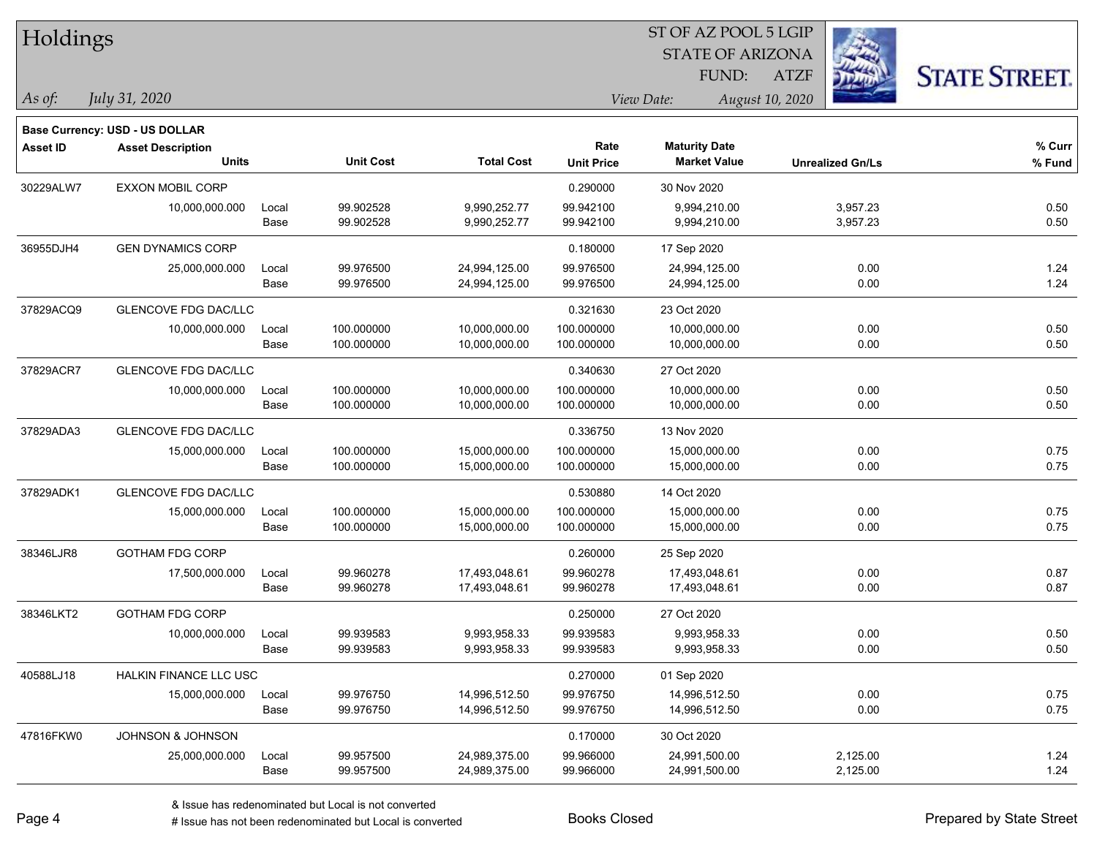| Holdings        |                                       |       |                  |                   |                   |                         |                 |                         |                      |
|-----------------|---------------------------------------|-------|------------------|-------------------|-------------------|-------------------------|-----------------|-------------------------|----------------------|
|                 |                                       |       |                  |                   |                   | <b>STATE OF ARIZONA</b> |                 |                         |                      |
|                 |                                       |       |                  |                   |                   | FUND:                   | <b>ATZF</b>     |                         | <b>STATE STREET.</b> |
| As of:          | July 31, 2020                         |       |                  |                   |                   | View Date:              | August 10, 2020 |                         |                      |
|                 | <b>Base Currency: USD - US DOLLAR</b> |       |                  |                   |                   |                         |                 |                         |                      |
| <b>Asset ID</b> | <b>Asset Description</b>              |       |                  |                   | Rate              | <b>Maturity Date</b>    |                 |                         | % Curr               |
|                 | <b>Units</b>                          |       | <b>Unit Cost</b> | <b>Total Cost</b> | <b>Unit Price</b> | <b>Market Value</b>     |                 | <b>Unrealized Gn/Ls</b> | % Fund               |
| 30229ALW7       | <b>EXXON MOBIL CORP</b>               |       |                  |                   | 0.290000          | 30 Nov 2020             |                 |                         |                      |
|                 | 10,000,000.000                        | Local | 99.902528        | 9,990,252.77      | 99.942100         | 9,994,210.00            |                 | 3,957.23                | 0.50                 |
|                 |                                       | Base  | 99.902528        | 9,990,252.77      | 99.942100         | 9,994,210.00            |                 | 3,957.23                | 0.50                 |
| 36955DJH4       | <b>GEN DYNAMICS CORP</b>              |       |                  |                   | 0.180000          | 17 Sep 2020             |                 |                         |                      |
|                 | 25,000,000.000                        | Local | 99.976500        | 24,994,125.00     | 99.976500         | 24,994,125.00           |                 | 0.00                    | 1.24                 |
|                 |                                       | Base  | 99.976500        | 24,994,125.00     | 99.976500         | 24,994,125.00           |                 | 0.00                    | 1.24                 |
| 37829ACQ9       | <b>GLENCOVE FDG DAC/LLC</b>           |       |                  |                   | 0.321630          | 23 Oct 2020             |                 |                         |                      |
|                 | 10,000,000.000                        | Local | 100.000000       | 10,000,000.00     | 100.000000        | 10,000,000.00           |                 | 0.00                    | 0.50                 |
|                 |                                       | Base  | 100.000000       | 10,000,000.00     | 100.000000        | 10,000,000.00           |                 | 0.00                    | 0.50                 |
| 37829ACR7       | <b>GLENCOVE FDG DAC/LLC</b>           |       |                  |                   | 0.340630          | 27 Oct 2020             |                 |                         |                      |
|                 | 10,000,000.000                        | Local | 100.000000       | 10,000,000.00     | 100.000000        | 10,000,000.00           |                 | 0.00                    | 0.50                 |
|                 |                                       | Base  | 100.000000       | 10,000,000.00     | 100.000000        | 10,000,000.00           |                 | 0.00                    | 0.50                 |
| 37829ADA3       | GLENCOVE FDG DAC/LLC                  |       |                  |                   | 0.336750          | 13 Nov 2020             |                 |                         |                      |
|                 | 15,000,000.000                        | Local | 100.000000       | 15,000,000.00     | 100.000000        | 15,000,000.00           |                 | 0.00                    | 0.75                 |
|                 |                                       | Base  | 100.000000       | 15,000,000.00     | 100.000000        | 15,000,000.00           |                 | 0.00                    | 0.75                 |
| 37829ADK1       | <b>GLENCOVE FDG DAC/LLC</b>           |       |                  |                   | 0.530880          | 14 Oct 2020             |                 |                         |                      |
|                 | 15,000,000.000                        | Local | 100.000000       | 15,000,000.00     | 100.000000        | 15,000,000.00           |                 | 0.00                    | 0.75                 |
|                 |                                       | Base  | 100.000000       | 15,000,000.00     | 100.000000        | 15,000,000.00           |                 | 0.00                    | 0.75                 |
| 38346LJR8       | <b>GOTHAM FDG CORP</b>                |       |                  |                   | 0.260000          | 25 Sep 2020             |                 |                         |                      |
|                 | 17,500,000.000                        | Local | 99.960278        | 17,493,048.61     | 99.960278         | 17,493,048.61           |                 | 0.00                    | 0.87                 |
|                 |                                       | Base  | 99.960278        | 17,493,048.61     | 99.960278         | 17,493,048.61           |                 | 0.00                    | 0.87                 |
| 38346LKT2       | <b>GOTHAM FDG CORP</b>                |       |                  |                   | 0.250000          | 27 Oct 2020             |                 |                         |                      |
|                 | 10,000,000.000                        | Local | 99.939583        | 9,993,958.33      | 99.939583         | 9,993,958.33            |                 | 0.00                    | 0.50                 |
|                 |                                       | Base  | 99.939583        | 9,993,958.33      | 99.939583         | 9,993,958.33            |                 | 0.00                    | 0.50                 |
| 40588LJ18       | HALKIN FINANCE LLC USC                |       |                  |                   | 0.270000          | 01 Sep 2020             |                 |                         |                      |
|                 | 15,000,000.000                        | Local | 99.976750        | 14,996,512.50     | 99.976750         | 14,996,512.50           |                 | 0.00                    | 0.75                 |
|                 |                                       | Base  | 99.976750        | 14,996,512.50     | 99.976750         | 14,996,512.50           |                 | 0.00                    | 0.75                 |
| 47816FKW0       | JOHNSON & JOHNSON                     |       |                  |                   | 0.170000          | 30 Oct 2020             |                 |                         |                      |
|                 | 25,000,000.000                        | Local | 99.957500        | 24,989,375.00     | 99.966000         | 24,991,500.00           |                 | 2,125.00                | 1.24                 |
|                 |                                       | Base  | 99.957500        | 24,989,375.00     | 99.966000         | 24,991,500.00           |                 | 2,125.00                | 1.24                 |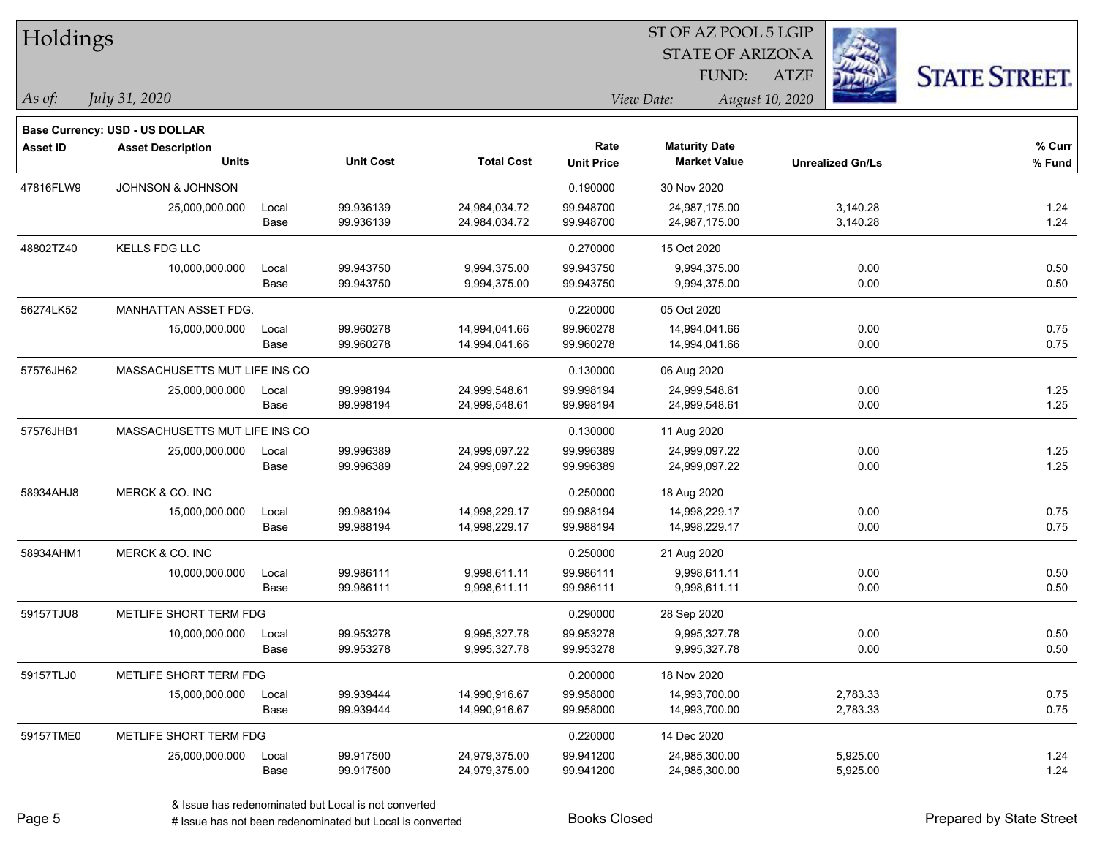| Holdings        |                                       |       |                  |                   |                   | ST OF AZ POOL 5 LGIP    |                 |                         |                      |
|-----------------|---------------------------------------|-------|------------------|-------------------|-------------------|-------------------------|-----------------|-------------------------|----------------------|
|                 |                                       |       |                  |                   |                   | <b>STATE OF ARIZONA</b> |                 |                         |                      |
|                 |                                       |       |                  |                   |                   | FUND:                   | <b>ATZF</b>     |                         | <b>STATE STREET.</b> |
| As of:          | July 31, 2020                         |       |                  |                   |                   | View Date:              | August 10, 2020 |                         |                      |
|                 | <b>Base Currency: USD - US DOLLAR</b> |       |                  |                   |                   |                         |                 |                         |                      |
| <b>Asset ID</b> | <b>Asset Description</b>              |       |                  |                   | Rate              | <b>Maturity Date</b>    |                 |                         | % Curr               |
|                 | <b>Units</b>                          |       | <b>Unit Cost</b> | <b>Total Cost</b> | <b>Unit Price</b> | <b>Market Value</b>     |                 | <b>Unrealized Gn/Ls</b> | % Fund               |
| 47816FLW9       | <b>JOHNSON &amp; JOHNSON</b>          |       |                  |                   | 0.190000          | 30 Nov 2020             |                 |                         |                      |
|                 | 25,000,000.000                        | Local | 99.936139        | 24,984,034.72     | 99.948700         | 24,987,175.00           |                 | 3,140.28                | 1.24                 |
|                 |                                       | Base  | 99.936139        | 24,984,034.72     | 99.948700         | 24,987,175.00           |                 | 3,140.28                | 1.24                 |
| 48802TZ40       | <b>KELLS FDG LLC</b>                  |       |                  |                   | 0.270000          | 15 Oct 2020             |                 |                         |                      |
|                 | 10,000,000.000                        | Local | 99.943750        | 9,994,375.00      | 99.943750         | 9,994,375.00            |                 | 0.00                    | 0.50                 |
|                 |                                       | Base  | 99.943750        | 9,994,375.00      | 99.943750         | 9,994,375.00            |                 | 0.00                    | 0.50                 |
| 56274LK52       | MANHATTAN ASSET FDG.                  |       |                  |                   | 0.220000          | 05 Oct 2020             |                 |                         |                      |
|                 | 15,000,000.000                        | Local | 99.960278        | 14,994,041.66     | 99.960278         | 14,994,041.66           |                 | 0.00                    | 0.75                 |
|                 |                                       | Base  | 99.960278        | 14,994,041.66     | 99.960278         | 14,994,041.66           |                 | 0.00                    | 0.75                 |
| 57576JH62       | MASSACHUSETTS MUT LIFE INS CO         |       |                  |                   | 0.130000          | 06 Aug 2020             |                 |                         |                      |
|                 | 25,000,000.000                        | Local | 99.998194        | 24,999,548.61     | 99.998194         | 24,999,548.61           |                 | 0.00                    | 1.25                 |
|                 |                                       | Base  | 99.998194        | 24,999,548.61     | 99.998194         | 24,999,548.61           |                 | 0.00                    | 1.25                 |
| 57576JHB1       | MASSACHUSETTS MUT LIFE INS CO         |       |                  |                   | 0.130000          | 11 Aug 2020             |                 |                         |                      |
|                 | 25,000,000.000                        | Local | 99.996389        | 24,999,097.22     | 99.996389         | 24,999,097.22           |                 | 0.00                    | 1.25                 |
|                 |                                       | Base  | 99.996389        | 24,999,097.22     | 99.996389         | 24,999,097.22           |                 | 0.00                    | $1.25$               |
| 58934AHJ8       | MERCK & CO. INC                       |       |                  |                   | 0.250000          | 18 Aug 2020             |                 |                         |                      |
|                 | 15,000,000.000                        | Local | 99.988194        | 14,998,229.17     | 99.988194         | 14,998,229.17           |                 | 0.00                    | 0.75                 |
|                 |                                       | Base  | 99.988194        | 14,998,229.17     | 99.988194         | 14,998,229.17           |                 | 0.00                    | 0.75                 |
| 58934AHM1       | MERCK & CO. INC                       |       |                  |                   | 0.250000          | 21 Aug 2020             |                 |                         |                      |
|                 | 10,000,000.000                        | Local | 99.986111        | 9,998,611.11      | 99.986111         | 9,998,611.11            |                 | 0.00                    | 0.50                 |
|                 |                                       | Base  | 99.986111        | 9,998,611.11      | 99.986111         | 9,998,611.11            |                 | 0.00                    | 0.50                 |
| 59157TJU8       | METLIFE SHORT TERM FDG                |       |                  |                   | 0.290000          | 28 Sep 2020             |                 |                         |                      |
|                 | 10,000,000.000                        | Local | 99.953278        | 9,995,327.78      | 99.953278         | 9,995,327.78            |                 | 0.00                    | 0.50                 |
|                 |                                       | Base  | 99.953278        | 9,995,327.78      | 99.953278         | 9,995,327.78            |                 | 0.00                    | 0.50                 |
| 59157TLJ0       | METLIFE SHORT TERM FDG                |       |                  |                   | 0.200000          | 18 Nov 2020             |                 |                         |                      |
|                 | 15,000,000.000                        | Local | 99.939444        | 14,990,916.67     | 99.958000         | 14,993,700.00           |                 | 2,783.33                | 0.75                 |
|                 |                                       | Base  | 99.939444        | 14,990,916.67     | 99.958000         | 14,993,700.00           |                 | 2,783.33                | 0.75                 |
| 59157TME0       | METLIFE SHORT TERM FDG                |       |                  |                   | 0.220000          | 14 Dec 2020             |                 |                         |                      |
|                 | 25,000,000.000                        | Local | 99.917500        | 24,979,375.00     | 99.941200         | 24,985,300.00           |                 | 5,925.00                | 1.24                 |
|                 |                                       | Base  | 99.917500        | 24,979,375.00     | 99.941200         | 24,985,300.00           |                 | 5,925.00                | 1.24                 |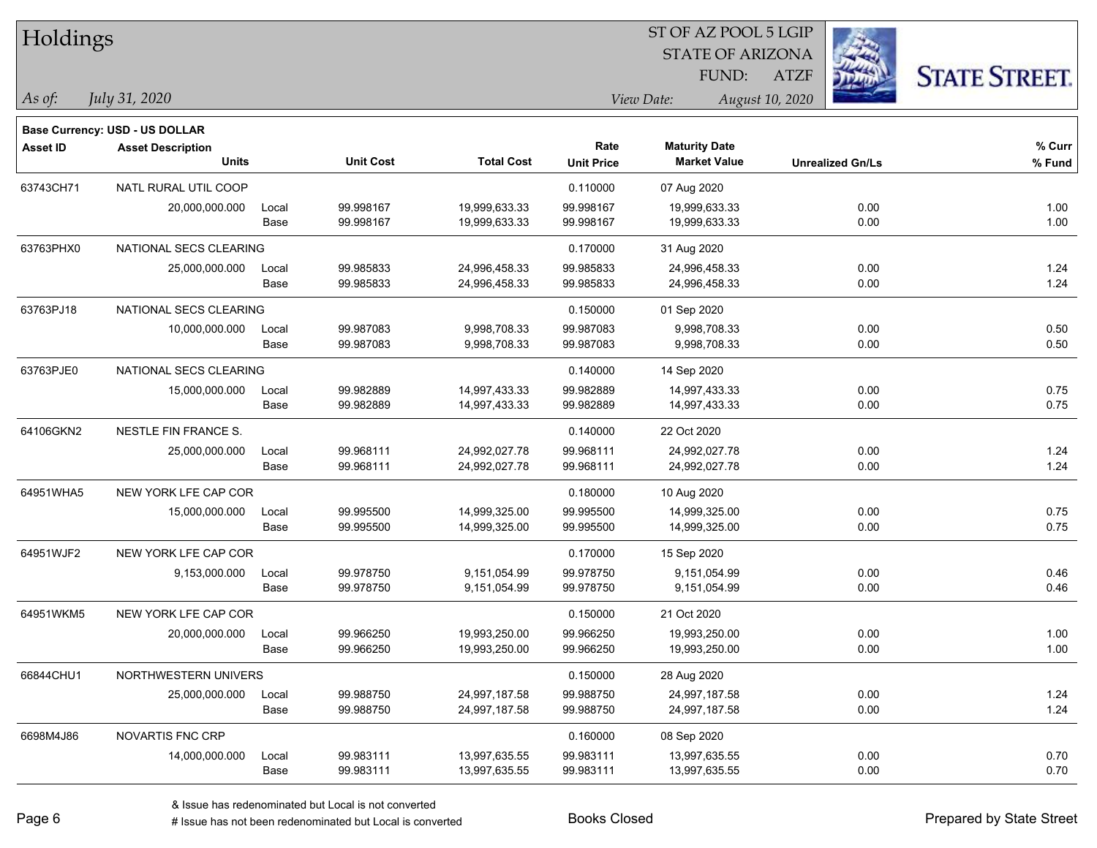| Holdings        |                                          |       |                  |                   |                   | ST OF AZ POOL 5 LGIP    |                         |                      |
|-----------------|------------------------------------------|-------|------------------|-------------------|-------------------|-------------------------|-------------------------|----------------------|
|                 |                                          |       |                  |                   |                   | <b>STATE OF ARIZONA</b> |                         |                      |
|                 |                                          |       |                  |                   |                   | FUND:                   | <b>ATZF</b>             | <b>STATE STREET.</b> |
| As of:          | July 31, 2020                            |       |                  |                   |                   | View Date:              | August 10, 2020         |                      |
|                 |                                          |       |                  |                   |                   |                         |                         |                      |
|                 | Base Currency: USD - US DOLLAR           |       |                  |                   | Rate              | <b>Maturity Date</b>    |                         | % Curr               |
| <b>Asset ID</b> | <b>Asset Description</b><br><b>Units</b> |       | <b>Unit Cost</b> | <b>Total Cost</b> | <b>Unit Price</b> | <b>Market Value</b>     | <b>Unrealized Gn/Ls</b> | $%$ Fund             |
| 63743CH71       | NATL RURAL UTIL COOP                     |       |                  |                   | 0.110000          | 07 Aug 2020             |                         |                      |
|                 | 20,000,000.000                           | Local | 99.998167        | 19,999,633.33     | 99.998167         | 19,999,633.33           | 0.00                    | 1.00                 |
|                 |                                          | Base  | 99.998167        | 19,999,633.33     | 99.998167         | 19,999,633.33           | 0.00                    | 1.00                 |
| 63763PHX0       | NATIONAL SECS CLEARING                   |       |                  |                   | 0.170000          | 31 Aug 2020             |                         |                      |
|                 | 25,000,000.000                           | Local | 99.985833        | 24,996,458.33     | 99.985833         | 24,996,458.33           | 0.00                    | 1.24                 |
|                 |                                          | Base  | 99.985833        | 24,996,458.33     | 99.985833         | 24,996,458.33           | 0.00                    | 1.24                 |
| 63763PJ18       | NATIONAL SECS CLEARING                   |       |                  |                   | 0.150000          | 01 Sep 2020             |                         |                      |
|                 | 10,000,000.000                           | Local | 99.987083        | 9,998,708.33      | 99.987083         | 9,998,708.33            | 0.00                    | 0.50                 |
|                 |                                          | Base  | 99.987083        | 9,998,708.33      | 99.987083         | 9,998,708.33            | 0.00                    | 0.50                 |
| 63763PJE0       | NATIONAL SECS CLEARING                   |       |                  |                   | 0.140000          | 14 Sep 2020             |                         |                      |
|                 | 15,000,000.000                           | Local | 99.982889        | 14,997,433.33     | 99.982889         | 14,997,433.33           | 0.00                    | 0.75                 |
|                 |                                          | Base  | 99.982889        | 14,997,433.33     | 99.982889         | 14,997,433.33           | 0.00                    | 0.75                 |
| 64106GKN2       | NESTLE FIN FRANCE S.                     |       |                  |                   | 0.140000          | 22 Oct 2020             |                         |                      |
|                 | 25,000,000.000                           | Local | 99.968111        | 24,992,027.78     | 99.968111         | 24,992,027.78           | 0.00                    | 1.24                 |
|                 |                                          | Base  | 99.968111        | 24,992,027.78     | 99.968111         | 24,992,027.78           | 0.00                    | 1.24                 |
| 64951WHA5       | NEW YORK LFE CAP COR                     |       |                  |                   | 0.180000          | 10 Aug 2020             |                         |                      |
|                 | 15,000,000.000                           | Local | 99.995500        | 14,999,325.00     | 99.995500         | 14,999,325.00           | 0.00                    | 0.75                 |
|                 |                                          | Base  | 99.995500        | 14,999,325.00     | 99.995500         | 14,999,325.00           | 0.00                    | 0.75                 |
| 64951WJF2       | NEW YORK LFE CAP COR                     |       |                  |                   | 0.170000          | 15 Sep 2020             |                         |                      |
|                 | 9,153,000.000                            | Local | 99.978750        | 9,151,054.99      | 99.978750         | 9,151,054.99            | 0.00                    | 0.46                 |
|                 |                                          | Base  | 99.978750        | 9,151,054.99      | 99.978750         | 9,151,054.99            | 0.00                    | 0.46                 |
| 64951WKM5       | NEW YORK LFE CAP COR                     |       |                  |                   | 0.150000          | 21 Oct 2020             |                         |                      |
|                 | 20,000,000.000                           | Local | 99.966250        | 19,993,250.00     | 99.966250         | 19,993,250.00           | 0.00                    | 1.00                 |
|                 |                                          | Base  | 99.966250        | 19,993,250.00     | 99.966250         | 19,993,250.00           | 0.00                    | 1.00                 |
| 66844CHU1       | NORTHWESTERN UNIVERS                     |       |                  |                   | 0.150000          | 28 Aug 2020             |                         |                      |
|                 | 25,000,000.000                           | Local | 99.988750        | 24,997,187.58     | 99.988750         | 24,997,187.58           | 0.00                    | 1.24                 |
|                 |                                          | Base  | 99.988750        | 24,997,187.58     | 99.988750         | 24,997,187.58           | 0.00                    | 1.24                 |
| 6698M4J86       | NOVARTIS FNC CRP                         |       |                  |                   | 0.160000          | 08 Sep 2020             |                         |                      |
|                 | 14,000,000.000                           | Local | 99.983111        | 13,997,635.55     | 99.983111         | 13,997,635.55           | 0.00                    | 0.70                 |
|                 |                                          | Base  | 99.983111        | 13,997,635.55     | 99.983111         | 13,997,635.55           | 0.00                    | 0.70                 |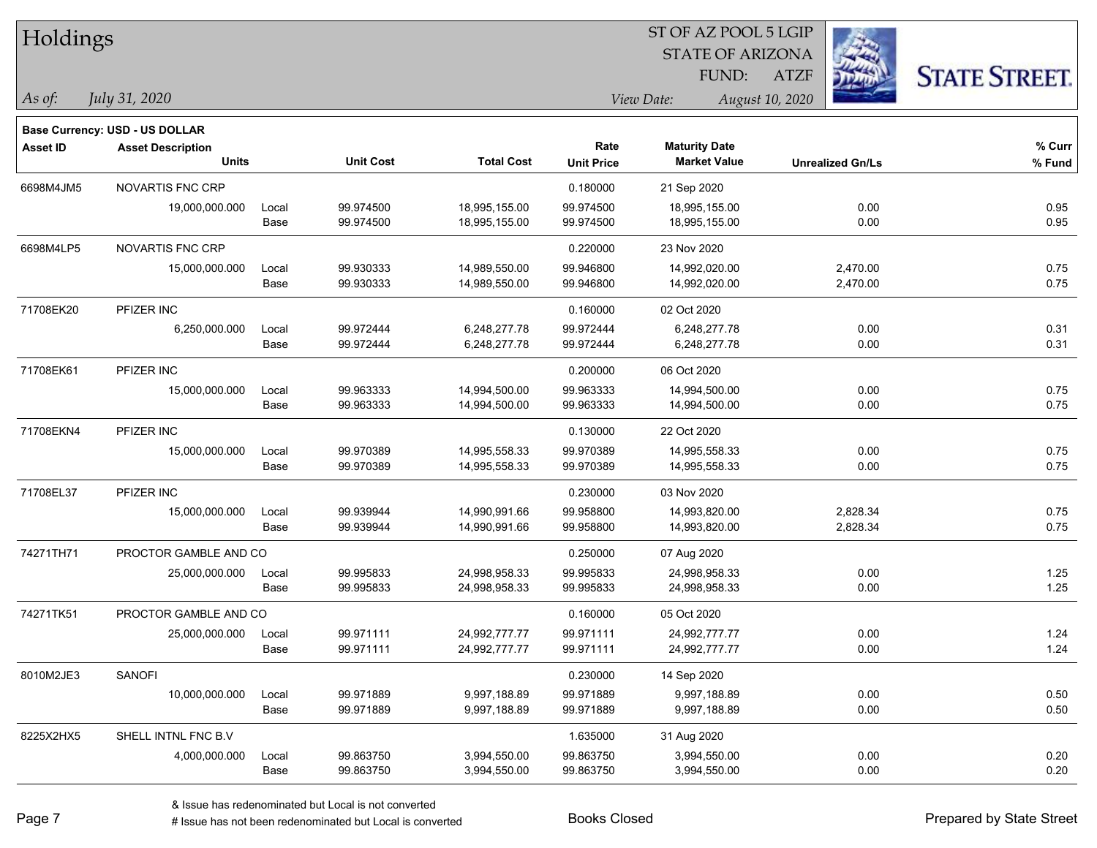| Holdings        |                                                                   |       |                  |                   |                   | ST OF AZ POOL 5 LGIP    |                         |                      |
|-----------------|-------------------------------------------------------------------|-------|------------------|-------------------|-------------------|-------------------------|-------------------------|----------------------|
|                 |                                                                   |       |                  |                   |                   | <b>STATE OF ARIZONA</b> |                         |                      |
|                 |                                                                   |       |                  |                   |                   | FUND:                   | <b>ATZF</b>             | <b>STATE STREET.</b> |
| As of:          | July 31, 2020                                                     |       |                  |                   |                   | View Date:              | August 10, 2020         |                      |
|                 |                                                                   |       |                  |                   |                   |                         |                         |                      |
| <b>Asset ID</b> | <b>Base Currency: USD - US DOLLAR</b><br><b>Asset Description</b> |       |                  |                   | Rate              | <b>Maturity Date</b>    |                         | % Curr               |
|                 | <b>Units</b>                                                      |       | <b>Unit Cost</b> | <b>Total Cost</b> | <b>Unit Price</b> | <b>Market Value</b>     | <b>Unrealized Gn/Ls</b> | % Fund               |
| 6698M4JM5       | NOVARTIS FNC CRP                                                  |       |                  |                   | 0.180000          | 21 Sep 2020             |                         |                      |
|                 | 19,000,000.000                                                    | Local | 99.974500        | 18,995,155.00     | 99.974500         | 18,995,155.00           | 0.00                    | 0.95                 |
|                 |                                                                   | Base  | 99.974500        | 18,995,155.00     | 99.974500         | 18,995,155.00           | 0.00                    | 0.95                 |
| 6698M4LP5       | NOVARTIS FNC CRP                                                  |       |                  |                   | 0.220000          | 23 Nov 2020             |                         |                      |
|                 | 15,000,000.000                                                    | Local | 99.930333        | 14,989,550.00     | 99.946800         | 14,992,020.00           | 2,470.00                | 0.75                 |
|                 |                                                                   | Base  | 99.930333        | 14,989,550.00     | 99.946800         | 14,992,020.00           | 2,470.00                | 0.75                 |
| 71708EK20       | PFIZER INC                                                        |       |                  |                   | 0.160000          | 02 Oct 2020             |                         |                      |
|                 | 6,250,000.000                                                     | Local | 99.972444        | 6,248,277.78      | 99.972444         | 6,248,277.78            | 0.00                    | 0.31                 |
|                 |                                                                   | Base  | 99.972444        | 6,248,277.78      | 99.972444         | 6,248,277.78            | 0.00                    | 0.31                 |
| 71708EK61       | PFIZER INC                                                        |       |                  |                   | 0.200000          | 06 Oct 2020             |                         |                      |
|                 | 15,000,000.000                                                    | Local | 99.963333        | 14,994,500.00     | 99.963333         | 14,994,500.00           | 0.00                    | 0.75                 |
|                 |                                                                   | Base  | 99.963333        | 14,994,500.00     | 99.963333         | 14,994,500.00           | 0.00                    | 0.75                 |
| 71708EKN4       | PFIZER INC                                                        |       |                  |                   | 0.130000          | 22 Oct 2020             |                         |                      |
|                 | 15,000,000.000                                                    | Local | 99.970389        | 14,995,558.33     | 99.970389         | 14,995,558.33           | 0.00                    | 0.75                 |
|                 |                                                                   | Base  | 99.970389        | 14,995,558.33     | 99.970389         | 14,995,558.33           | 0.00                    | 0.75                 |
| 71708EL37       | PFIZER INC                                                        |       |                  |                   | 0.230000          | 03 Nov 2020             |                         |                      |
|                 | 15,000,000.000                                                    | Local | 99.939944        | 14,990,991.66     | 99.958800         | 14,993,820.00           | 2,828.34                | 0.75                 |
|                 |                                                                   | Base  | 99.939944        | 14,990,991.66     | 99.958800         | 14,993,820.00           | 2,828.34                | 0.75                 |
| 74271TH71       | PROCTOR GAMBLE AND CO                                             |       |                  |                   | 0.250000          | 07 Aug 2020             |                         |                      |
|                 | 25,000,000.000                                                    | Local | 99.995833        | 24,998,958.33     | 99.995833         | 24,998,958.33           | 0.00                    | 1.25                 |
|                 |                                                                   | Base  | 99.995833        | 24,998,958.33     | 99.995833         | 24,998,958.33           | 0.00                    | 1.25                 |
| 74271TK51       | PROCTOR GAMBLE AND CO                                             |       |                  |                   | 0.160000          | 05 Oct 2020             |                         |                      |
|                 | 25,000,000.000                                                    | Local | 99.971111        | 24,992,777.77     | 99.971111         | 24,992,777.77           | 0.00                    | 1.24                 |
|                 |                                                                   | Base  | 99.971111        | 24,992,777.77     | 99.971111         | 24,992,777.77           | 0.00                    | 1.24                 |
| 8010M2JE3       | SANOFI                                                            |       |                  |                   | 0.230000          | 14 Sep 2020             |                         |                      |
|                 | 10,000,000.000                                                    | Local | 99.971889        | 9,997,188.89      | 99.971889         | 9,997,188.89            | 0.00                    | 0.50                 |
|                 |                                                                   | Base  | 99.971889        | 9,997,188.89      | 99.971889         | 9,997,188.89            | 0.00                    | 0.50                 |
| 8225X2HX5       | SHELL INTNL FNC B.V                                               |       |                  |                   | 1.635000          | 31 Aug 2020             |                         |                      |
|                 | 4,000,000.000                                                     | Local | 99.863750        | 3,994,550.00      | 99.863750         | 3,994,550.00            | 0.00                    | 0.20                 |
|                 |                                                                   | Base  | 99.863750        | 3,994,550.00      | 99.863750         | 3,994,550.00            | 0.00                    | 0.20                 |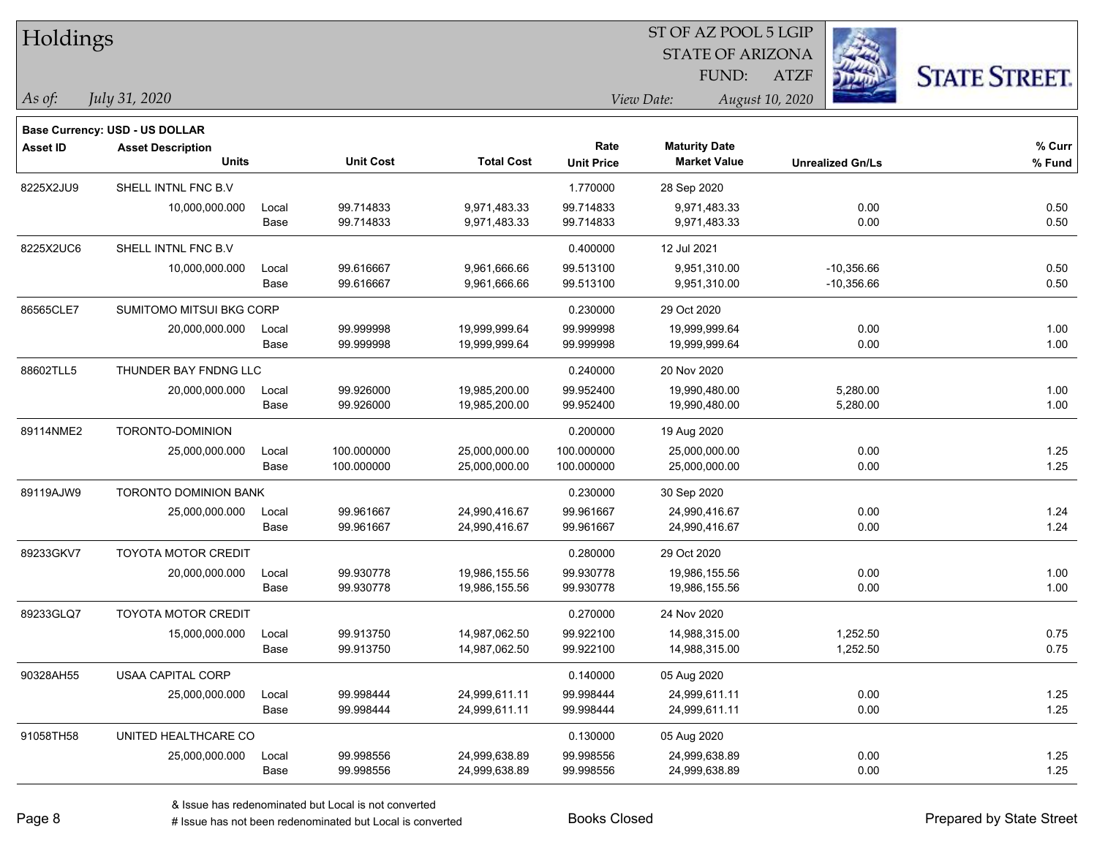| Holdings        |                                |       |                  |                   |                   |                         |                         |                      |
|-----------------|--------------------------------|-------|------------------|-------------------|-------------------|-------------------------|-------------------------|----------------------|
|                 |                                |       |                  |                   |                   | <b>STATE OF ARIZONA</b> |                         |                      |
|                 |                                |       |                  |                   |                   | FUND:                   | <b>ATZF</b>             | <b>STATE STREET.</b> |
| As of:          | July 31, 2020                  |       |                  |                   |                   | View Date:              | August 10, 2020         |                      |
|                 | Base Currency: USD - US DOLLAR |       |                  |                   |                   |                         |                         |                      |
| <b>Asset ID</b> | <b>Asset Description</b>       |       |                  |                   | Rate              | <b>Maturity Date</b>    |                         | % Curr               |
|                 | <b>Units</b>                   |       | <b>Unit Cost</b> | <b>Total Cost</b> | <b>Unit Price</b> | <b>Market Value</b>     | <b>Unrealized Gn/Ls</b> | % Fund               |
| 8225X2JU9       | SHELL INTNL FNC B.V            |       |                  |                   | 1.770000          | 28 Sep 2020             |                         |                      |
|                 | 10,000,000.000                 | Local | 99.714833        | 9,971,483.33      | 99.714833         | 9,971,483.33            | 0.00                    | 0.50                 |
|                 |                                | Base  | 99.714833        | 9,971,483.33      | 99.714833         | 9,971,483.33            | 0.00                    | 0.50                 |
| 8225X2UC6       | SHELL INTNL FNC B.V            |       |                  |                   | 0.400000          | 12 Jul 2021             |                         |                      |
|                 | 10,000,000.000                 | Local | 99.616667        | 9,961,666.66      | 99.513100         | 9,951,310.00            | $-10,356.66$            | 0.50                 |
|                 |                                | Base  | 99.616667        | 9,961,666.66      | 99.513100         | 9,951,310.00            | $-10,356.66$            | 0.50                 |
| 86565CLE7       | SUMITOMO MITSUI BKG CORP       |       |                  |                   | 0.230000          | 29 Oct 2020             |                         |                      |
|                 | 20,000,000.000                 | Local | 99.999998        | 19,999,999.64     | 99.999998         | 19,999,999.64           | 0.00                    | 1.00                 |
|                 |                                | Base  | 99.999998        | 19,999,999.64     | 99.999998         | 19,999,999.64           | 0.00                    | 1.00                 |
| 88602TLL5       | THUNDER BAY FNDNG LLC          |       |                  |                   | 0.240000          | 20 Nov 2020             |                         |                      |
|                 | 20,000,000.000                 | Local | 99.926000        | 19,985,200.00     | 99.952400         | 19,990,480.00           | 5,280.00                | 1.00                 |
|                 |                                | Base  | 99.926000        | 19,985,200.00     | 99.952400         | 19,990,480.00           | 5,280.00                | 1.00                 |
| 89114NME2       | TORONTO-DOMINION               |       |                  |                   | 0.200000          | 19 Aug 2020             |                         |                      |
|                 | 25,000,000.000                 | Local | 100.000000       | 25,000,000.00     | 100.000000        | 25,000,000.00           | 0.00                    | 1.25                 |
|                 |                                | Base  | 100.000000       | 25,000,000.00     | 100.000000        | 25,000,000.00           | 0.00                    | 1.25                 |
| 89119AJW9       | <b>TORONTO DOMINION BANK</b>   |       |                  |                   | 0.230000          | 30 Sep 2020             |                         |                      |
|                 | 25,000,000.000                 | Local | 99.961667        | 24,990,416.67     | 99.961667         | 24,990,416.67           | 0.00                    | 1.24                 |
|                 |                                | Base  | 99.961667        | 24,990,416.67     | 99.961667         | 24,990,416.67           | 0.00                    | 1.24                 |
| 89233GKV7       | <b>TOYOTA MOTOR CREDIT</b>     |       |                  |                   | 0.280000          | 29 Oct 2020             |                         |                      |
|                 | 20,000,000.000                 | Local | 99.930778        | 19,986,155.56     | 99.930778         | 19,986,155.56           | 0.00                    | 1.00                 |
|                 |                                | Base  | 99.930778        | 19,986,155.56     | 99.930778         | 19,986,155.56           | 0.00                    | 1.00                 |
| 89233GLQ7       | <b>TOYOTA MOTOR CREDIT</b>     |       |                  |                   | 0.270000          | 24 Nov 2020             |                         |                      |
|                 | 15,000,000.000                 | Local | 99.913750        | 14,987,062.50     | 99.922100         | 14,988,315.00           | 1,252.50                | 0.75                 |
|                 |                                | Base  | 99.913750        | 14,987,062.50     | 99.922100         | 14,988,315.00           | 1,252.50                | 0.75                 |
| 90328AH55       | USAA CAPITAL CORP              |       |                  |                   | 0.140000          | 05 Aug 2020             |                         |                      |
|                 | 25,000,000.000                 | Local | 99.998444        | 24,999,611.11     | 99.998444         | 24,999,611.11           | 0.00                    | 1.25                 |
|                 |                                | Base  | 99.998444        | 24,999,611.11     | 99.998444         | 24,999,611.11           | 0.00                    | 1.25                 |
| 91058TH58       | UNITED HEALTHCARE CO           |       |                  |                   | 0.130000          | 05 Aug 2020             |                         |                      |
|                 | 25,000,000.000                 | Local | 99.998556        | 24,999,638.89     | 99.998556         | 24,999,638.89           | 0.00                    | 1.25                 |
|                 |                                | Base  | 99.998556        | 24,999,638.89     | 99.998556         | 24,999,638.89           | 0.00                    | 1.25                 |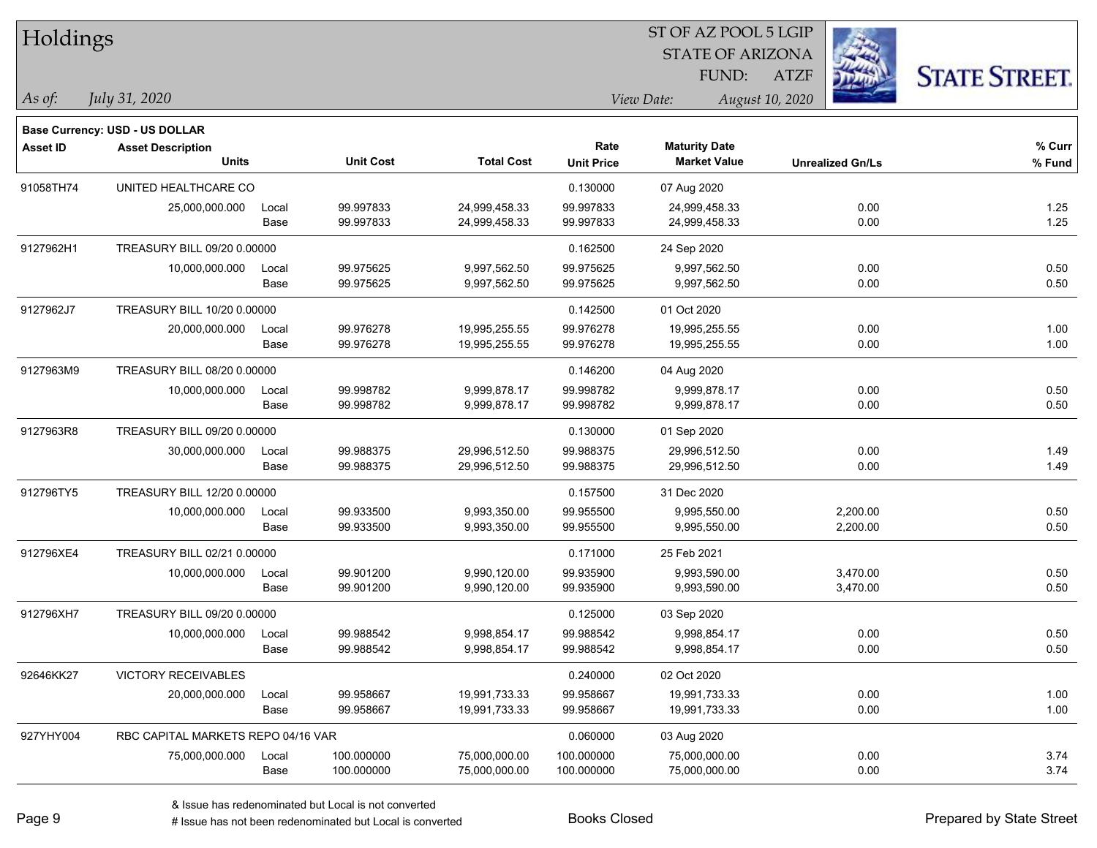| Holdings        |                                       |       |                  |                   | ST OF AZ POOL 5 LGIP |                         |                         |                      |  |
|-----------------|---------------------------------------|-------|------------------|-------------------|----------------------|-------------------------|-------------------------|----------------------|--|
|                 |                                       |       |                  |                   |                      | <b>STATE OF ARIZONA</b> |                         |                      |  |
|                 |                                       |       |                  |                   |                      | FUND:                   | <b>ATZF</b>             | <b>STATE STREET.</b> |  |
| $\vert$ As of:  | July 31, 2020                         |       |                  |                   |                      | View Date:              | August 10, 2020         |                      |  |
|                 | <b>Base Currency: USD - US DOLLAR</b> |       |                  |                   |                      |                         |                         |                      |  |
| <b>Asset ID</b> | <b>Asset Description</b>              |       |                  |                   | Rate                 | <b>Maturity Date</b>    |                         | % Curr               |  |
|                 | <b>Units</b>                          |       | <b>Unit Cost</b> | <b>Total Cost</b> | <b>Unit Price</b>    | <b>Market Value</b>     | <b>Unrealized Gn/Ls</b> | % Fund               |  |
| 91058TH74       | UNITED HEALTHCARE CO                  |       |                  |                   | 0.130000             | 07 Aug 2020             |                         |                      |  |
|                 | 25,000,000.000                        | Local | 99.997833        | 24,999,458.33     | 99.997833            | 24,999,458.33           | 0.00                    | 1.25                 |  |
|                 |                                       | Base  | 99.997833        | 24,999,458.33     | 99.997833            | 24,999,458.33           | 0.00                    | 1.25                 |  |
| 9127962H1       | TREASURY BILL 09/20 0.00000           |       |                  |                   | 0.162500             | 24 Sep 2020             |                         |                      |  |
|                 | 10,000,000.000                        | Local | 99.975625        | 9,997,562.50      | 99.975625            | 9,997,562.50            | 0.00                    | 0.50                 |  |
|                 |                                       | Base  | 99.975625        | 9,997,562.50      | 99.975625            | 9,997,562.50            | 0.00                    | 0.50                 |  |
| 9127962J7       | TREASURY BILL 10/20 0.00000           |       |                  |                   | 0.142500             | 01 Oct 2020             |                         |                      |  |
|                 | 20,000,000.000                        | Local | 99.976278        | 19,995,255.55     | 99.976278            | 19,995,255.55           | 0.00                    | 1.00                 |  |
|                 |                                       | Base  | 99.976278        | 19,995,255.55     | 99.976278            | 19,995,255.55           | 0.00                    | 1.00                 |  |
| 9127963M9       | TREASURY BILL 08/20 0.00000           |       |                  |                   | 0.146200             | 04 Aug 2020             |                         |                      |  |
|                 | 10,000,000.000                        | Local | 99.998782        | 9,999,878.17      | 99.998782            | 9,999,878.17            | 0.00                    | 0.50                 |  |
|                 |                                       | Base  | 99.998782        | 9,999,878.17      | 99.998782            | 9,999,878.17            | 0.00                    | 0.50                 |  |
| 9127963R8       | TREASURY BILL 09/20 0.00000           |       |                  |                   | 0.130000             | 01 Sep 2020             |                         |                      |  |
|                 | 30,000,000.000                        | Local | 99.988375        | 29,996,512.50     | 99.988375            | 29,996,512.50           | 0.00                    | 1.49                 |  |
|                 |                                       | Base  | 99.988375        | 29,996,512.50     | 99.988375            | 29,996,512.50           | 0.00                    | 1.49                 |  |
| 912796TY5       | TREASURY BILL 12/20 0.00000           |       |                  |                   | 0.157500             | 31 Dec 2020             |                         |                      |  |
|                 | 10,000,000.000                        | Local | 99.933500        | 9,993,350.00      | 99.955500            | 9,995,550.00            | 2,200.00                | 0.50                 |  |
|                 |                                       | Base  | 99.933500        | 9,993,350.00      | 99.955500            | 9,995,550.00            | 2,200.00                | 0.50                 |  |
| 912796XE4       | TREASURY BILL 02/21 0.00000           |       |                  |                   | 0.171000             | 25 Feb 2021             |                         |                      |  |
|                 | 10,000,000.000                        | Local | 99.901200        | 9,990,120.00      | 99.935900            | 9,993,590.00            | 3,470.00                | 0.50                 |  |
|                 |                                       | Base  | 99.901200        | 9,990,120.00      | 99.935900            | 9,993,590.00            | 3,470.00                | 0.50                 |  |
| 912796XH7       | TREASURY BILL 09/20 0.00000           |       |                  |                   | 0.125000             | 03 Sep 2020             |                         |                      |  |
|                 | 10,000,000.000                        | Local | 99.988542        | 9,998,854.17      | 99.988542            | 9.998.854.17            | 0.00                    | 0.50                 |  |
|                 |                                       | Base  | 99.988542        | 9,998,854.17      | 99.988542            | 9,998,854.17            | 0.00                    | 0.50                 |  |
| 92646KK27       | <b>VICTORY RECEIVABLES</b>            |       |                  |                   | 0.240000             | 02 Oct 2020             |                         |                      |  |
|                 | 20,000,000.000                        | Local | 99.958667        | 19,991,733.33     | 99.958667            | 19,991,733.33           | 0.00                    | 1.00                 |  |
|                 |                                       | Base  | 99.958667        | 19,991,733.33     | 99.958667            | 19,991,733.33           | 0.00                    | 1.00                 |  |
| 927YHY004       | RBC CAPITAL MARKETS REPO 04/16 VAR    |       |                  |                   | 0.060000             | 03 Aug 2020             |                         |                      |  |
|                 | 75,000,000.000                        | Local | 100.000000       | 75,000,000.00     | 100.000000           | 75,000,000.00           | 0.00                    | 3.74                 |  |
|                 |                                       | Base  | 100.000000       | 75,000,000.00     | 100.000000           | 75,000,000.00           | 0.00                    | 3.74                 |  |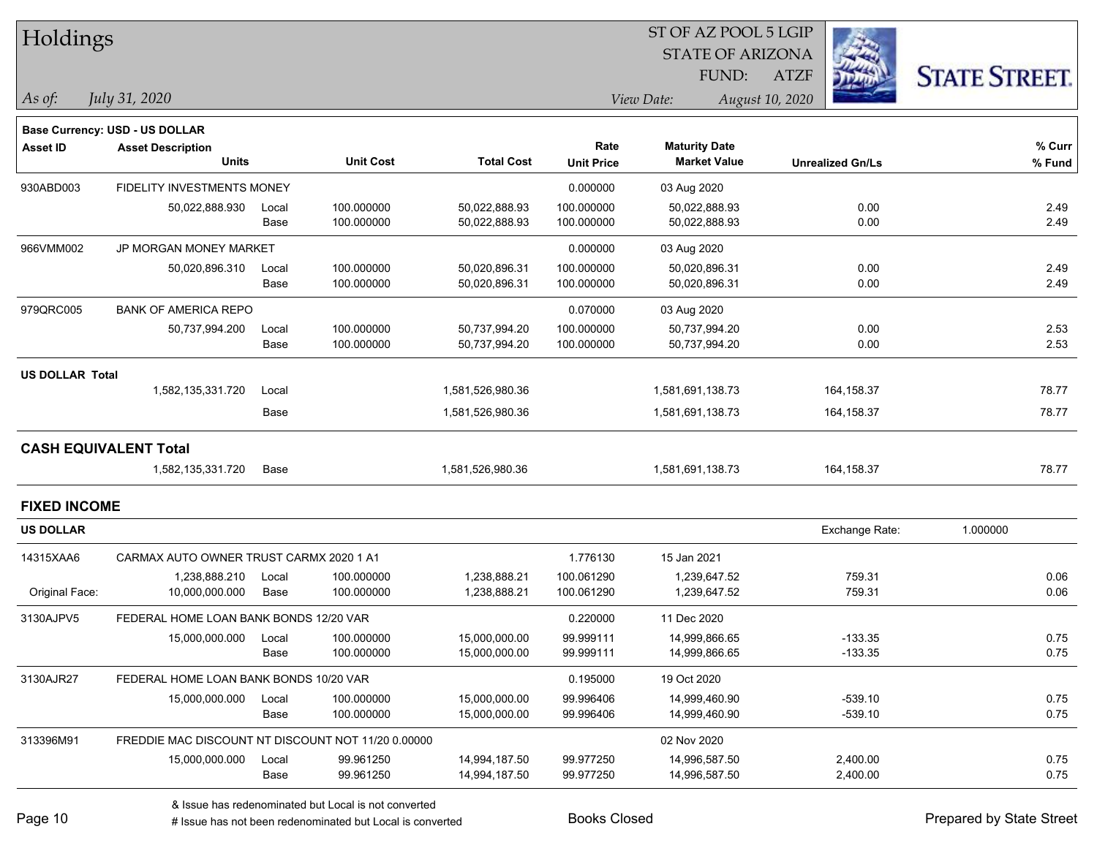| <b>STATE OF ARIZONA</b><br><b>STATE STREET.</b><br>FUND:<br><b>ATZF</b><br>August 10, 2020<br>As of:<br>July 31, 2020<br>View Date:<br><b>Base Currency: USD - US DOLLAR</b><br>Rate<br><b>Maturity Date</b><br><b>Asset ID</b><br><b>Asset Description</b><br><b>Unit Cost</b><br><b>Total Cost</b><br><b>Units</b><br><b>Market Value</b><br><b>Unit Price</b><br><b>Unrealized Gn/Ls</b><br>930ABD003<br>FIDELITY INVESTMENTS MONEY<br>0.000000<br>03 Aug 2020<br>50,022,888.930<br>100.000000<br>50,022,888.93<br>100.000000<br>0.00<br>2.49<br>Local<br>50,022,888.93<br>2.49<br>Base<br>100.000000<br>50,022,888.93<br>100.000000<br>50,022,888.93<br>0.00<br>JP MORGAN MONEY MARKET<br>966VMM002<br>0.000000<br>03 Aug 2020<br>0.00<br>2.49<br>100.000000<br>50,020,896.31<br>100.000000<br>50,020,896.310<br>Local<br>50,020,896.31<br>Base<br>100.000000<br>100.000000<br>50,020,896.31<br>0.00<br>2.49<br>50,020,896.31<br>979QRC005<br><b>BANK OF AMERICA REPO</b><br>0.070000<br>03 Aug 2020<br>100.000000<br>0.00<br>2.53<br>50,737,994.200<br>50,737,994.20<br>100.000000<br>50,737,994.20<br>Local<br>2.53<br>100.000000<br>100.000000<br>0.00<br>Base<br>50,737,994.20<br>50,737,994.20<br><b>US DOLLAR Total</b><br>1,582,135,331.720<br>1,581,526,980.36<br>164, 158.37<br>78.77<br>Local<br>1,581,691,138.73<br>78.77<br>1,581,526,980.36<br>164, 158.37<br>Base<br>1,581,691,138.73<br><b>CASH EQUIVALENT Total</b><br>1,582,135,331.720<br>Base<br>1,581,526,980.36<br>164,158.37<br>78.77<br>1,581,691,138.73<br><b>FIXED INCOME</b><br><b>US DOLLAR</b><br>Exchange Rate:<br>1.000000<br>14315XAA6<br>CARMAX AUTO OWNER TRUST CARMX 2020 1 A1<br>1.776130<br>15 Jan 2021<br>759.31<br>1,238,888.210<br>100.000000<br>1,238,888.21<br>100.061290<br>1,239,647.52<br>0.06<br>Local<br>0.06<br>Original Face:<br>10,000,000.000<br>Base<br>100.000000<br>1,238,888.21<br>100.061290<br>1,239,647.52<br>759.31<br>3130AJPV5<br>FEDERAL HOME LOAN BANK BONDS 12/20 VAR<br>0.220000<br>11 Dec 2020<br>15,000,000.000<br>15,000,000.00<br>99.999111<br>14,999,866.65<br>$-133.35$<br>0.75<br>100.000000<br>Local<br>Base<br>100.000000<br>15,000,000.00<br>99.999111<br>14,999,866.65<br>$-133.35$<br>0.75<br>3130AJR27<br>0.195000<br>FEDERAL HOME LOAN BANK BONDS 10/20 VAR<br>19 Oct 2020<br>$-539.10$<br>0.75<br>15,000,000.000<br>100.000000<br>15,000,000.00<br>99.996406<br>14,999,460.90<br>Local<br>$-539.10$<br>Base<br>99.996406<br>100.000000<br>15,000,000.00<br>14,999,460.90<br>313396M91<br>FREDDIE MAC DISCOUNT NT DISCOUNT NOT 11/20 0.00000<br>02 Nov 2020<br>99.977250<br>0.75<br>15,000,000.000<br>99.961250<br>14,994,187.50<br>14,996,587.50<br>2,400.00<br>Local<br>99.977250<br>2,400.00<br>Base<br>99.961250<br>14,994,187.50<br>14,996,587.50 | Holdings |  |  | ST OF AZ POOL 5 LGIP |  |  |        |  |  |
|------------------------------------------------------------------------------------------------------------------------------------------------------------------------------------------------------------------------------------------------------------------------------------------------------------------------------------------------------------------------------------------------------------------------------------------------------------------------------------------------------------------------------------------------------------------------------------------------------------------------------------------------------------------------------------------------------------------------------------------------------------------------------------------------------------------------------------------------------------------------------------------------------------------------------------------------------------------------------------------------------------------------------------------------------------------------------------------------------------------------------------------------------------------------------------------------------------------------------------------------------------------------------------------------------------------------------------------------------------------------------------------------------------------------------------------------------------------------------------------------------------------------------------------------------------------------------------------------------------------------------------------------------------------------------------------------------------------------------------------------------------------------------------------------------------------------------------------------------------------------------------------------------------------------------------------------------------------------------------------------------------------------------------------------------------------------------------------------------------------------------------------------------------------------------------------------------------------------------------------------------------------------------------------------------------------------------------------------------------------------------------------------------------------------------------------------------------------------------------------------------------------------------------------------------------------------------------------------------------------------------------------------------------------------------------------------------------------------------------------------------------------------------------------|----------|--|--|----------------------|--|--|--------|--|--|
|                                                                                                                                                                                                                                                                                                                                                                                                                                                                                                                                                                                                                                                                                                                                                                                                                                                                                                                                                                                                                                                                                                                                                                                                                                                                                                                                                                                                                                                                                                                                                                                                                                                                                                                                                                                                                                                                                                                                                                                                                                                                                                                                                                                                                                                                                                                                                                                                                                                                                                                                                                                                                                                                                                                                                                                          |          |  |  |                      |  |  |        |  |  |
|                                                                                                                                                                                                                                                                                                                                                                                                                                                                                                                                                                                                                                                                                                                                                                                                                                                                                                                                                                                                                                                                                                                                                                                                                                                                                                                                                                                                                                                                                                                                                                                                                                                                                                                                                                                                                                                                                                                                                                                                                                                                                                                                                                                                                                                                                                                                                                                                                                                                                                                                                                                                                                                                                                                                                                                          |          |  |  |                      |  |  |        |  |  |
|                                                                                                                                                                                                                                                                                                                                                                                                                                                                                                                                                                                                                                                                                                                                                                                                                                                                                                                                                                                                                                                                                                                                                                                                                                                                                                                                                                                                                                                                                                                                                                                                                                                                                                                                                                                                                                                                                                                                                                                                                                                                                                                                                                                                                                                                                                                                                                                                                                                                                                                                                                                                                                                                                                                                                                                          |          |  |  |                      |  |  |        |  |  |
|                                                                                                                                                                                                                                                                                                                                                                                                                                                                                                                                                                                                                                                                                                                                                                                                                                                                                                                                                                                                                                                                                                                                                                                                                                                                                                                                                                                                                                                                                                                                                                                                                                                                                                                                                                                                                                                                                                                                                                                                                                                                                                                                                                                                                                                                                                                                                                                                                                                                                                                                                                                                                                                                                                                                                                                          |          |  |  |                      |  |  |        |  |  |
|                                                                                                                                                                                                                                                                                                                                                                                                                                                                                                                                                                                                                                                                                                                                                                                                                                                                                                                                                                                                                                                                                                                                                                                                                                                                                                                                                                                                                                                                                                                                                                                                                                                                                                                                                                                                                                                                                                                                                                                                                                                                                                                                                                                                                                                                                                                                                                                                                                                                                                                                                                                                                                                                                                                                                                                          |          |  |  |                      |  |  | % Curr |  |  |
|                                                                                                                                                                                                                                                                                                                                                                                                                                                                                                                                                                                                                                                                                                                                                                                                                                                                                                                                                                                                                                                                                                                                                                                                                                                                                                                                                                                                                                                                                                                                                                                                                                                                                                                                                                                                                                                                                                                                                                                                                                                                                                                                                                                                                                                                                                                                                                                                                                                                                                                                                                                                                                                                                                                                                                                          |          |  |  |                      |  |  | % Fund |  |  |
|                                                                                                                                                                                                                                                                                                                                                                                                                                                                                                                                                                                                                                                                                                                                                                                                                                                                                                                                                                                                                                                                                                                                                                                                                                                                                                                                                                                                                                                                                                                                                                                                                                                                                                                                                                                                                                                                                                                                                                                                                                                                                                                                                                                                                                                                                                                                                                                                                                                                                                                                                                                                                                                                                                                                                                                          |          |  |  |                      |  |  |        |  |  |
|                                                                                                                                                                                                                                                                                                                                                                                                                                                                                                                                                                                                                                                                                                                                                                                                                                                                                                                                                                                                                                                                                                                                                                                                                                                                                                                                                                                                                                                                                                                                                                                                                                                                                                                                                                                                                                                                                                                                                                                                                                                                                                                                                                                                                                                                                                                                                                                                                                                                                                                                                                                                                                                                                                                                                                                          |          |  |  |                      |  |  |        |  |  |
|                                                                                                                                                                                                                                                                                                                                                                                                                                                                                                                                                                                                                                                                                                                                                                                                                                                                                                                                                                                                                                                                                                                                                                                                                                                                                                                                                                                                                                                                                                                                                                                                                                                                                                                                                                                                                                                                                                                                                                                                                                                                                                                                                                                                                                                                                                                                                                                                                                                                                                                                                                                                                                                                                                                                                                                          |          |  |  |                      |  |  |        |  |  |
|                                                                                                                                                                                                                                                                                                                                                                                                                                                                                                                                                                                                                                                                                                                                                                                                                                                                                                                                                                                                                                                                                                                                                                                                                                                                                                                                                                                                                                                                                                                                                                                                                                                                                                                                                                                                                                                                                                                                                                                                                                                                                                                                                                                                                                                                                                                                                                                                                                                                                                                                                                                                                                                                                                                                                                                          |          |  |  |                      |  |  |        |  |  |
|                                                                                                                                                                                                                                                                                                                                                                                                                                                                                                                                                                                                                                                                                                                                                                                                                                                                                                                                                                                                                                                                                                                                                                                                                                                                                                                                                                                                                                                                                                                                                                                                                                                                                                                                                                                                                                                                                                                                                                                                                                                                                                                                                                                                                                                                                                                                                                                                                                                                                                                                                                                                                                                                                                                                                                                          |          |  |  |                      |  |  |        |  |  |
|                                                                                                                                                                                                                                                                                                                                                                                                                                                                                                                                                                                                                                                                                                                                                                                                                                                                                                                                                                                                                                                                                                                                                                                                                                                                                                                                                                                                                                                                                                                                                                                                                                                                                                                                                                                                                                                                                                                                                                                                                                                                                                                                                                                                                                                                                                                                                                                                                                                                                                                                                                                                                                                                                                                                                                                          |          |  |  |                      |  |  |        |  |  |
|                                                                                                                                                                                                                                                                                                                                                                                                                                                                                                                                                                                                                                                                                                                                                                                                                                                                                                                                                                                                                                                                                                                                                                                                                                                                                                                                                                                                                                                                                                                                                                                                                                                                                                                                                                                                                                                                                                                                                                                                                                                                                                                                                                                                                                                                                                                                                                                                                                                                                                                                                                                                                                                                                                                                                                                          |          |  |  |                      |  |  |        |  |  |
|                                                                                                                                                                                                                                                                                                                                                                                                                                                                                                                                                                                                                                                                                                                                                                                                                                                                                                                                                                                                                                                                                                                                                                                                                                                                                                                                                                                                                                                                                                                                                                                                                                                                                                                                                                                                                                                                                                                                                                                                                                                                                                                                                                                                                                                                                                                                                                                                                                                                                                                                                                                                                                                                                                                                                                                          |          |  |  |                      |  |  |        |  |  |
|                                                                                                                                                                                                                                                                                                                                                                                                                                                                                                                                                                                                                                                                                                                                                                                                                                                                                                                                                                                                                                                                                                                                                                                                                                                                                                                                                                                                                                                                                                                                                                                                                                                                                                                                                                                                                                                                                                                                                                                                                                                                                                                                                                                                                                                                                                                                                                                                                                                                                                                                                                                                                                                                                                                                                                                          |          |  |  |                      |  |  |        |  |  |
|                                                                                                                                                                                                                                                                                                                                                                                                                                                                                                                                                                                                                                                                                                                                                                                                                                                                                                                                                                                                                                                                                                                                                                                                                                                                                                                                                                                                                                                                                                                                                                                                                                                                                                                                                                                                                                                                                                                                                                                                                                                                                                                                                                                                                                                                                                                                                                                                                                                                                                                                                                                                                                                                                                                                                                                          |          |  |  |                      |  |  |        |  |  |
|                                                                                                                                                                                                                                                                                                                                                                                                                                                                                                                                                                                                                                                                                                                                                                                                                                                                                                                                                                                                                                                                                                                                                                                                                                                                                                                                                                                                                                                                                                                                                                                                                                                                                                                                                                                                                                                                                                                                                                                                                                                                                                                                                                                                                                                                                                                                                                                                                                                                                                                                                                                                                                                                                                                                                                                          |          |  |  |                      |  |  |        |  |  |
|                                                                                                                                                                                                                                                                                                                                                                                                                                                                                                                                                                                                                                                                                                                                                                                                                                                                                                                                                                                                                                                                                                                                                                                                                                                                                                                                                                                                                                                                                                                                                                                                                                                                                                                                                                                                                                                                                                                                                                                                                                                                                                                                                                                                                                                                                                                                                                                                                                                                                                                                                                                                                                                                                                                                                                                          |          |  |  |                      |  |  |        |  |  |
|                                                                                                                                                                                                                                                                                                                                                                                                                                                                                                                                                                                                                                                                                                                                                                                                                                                                                                                                                                                                                                                                                                                                                                                                                                                                                                                                                                                                                                                                                                                                                                                                                                                                                                                                                                                                                                                                                                                                                                                                                                                                                                                                                                                                                                                                                                                                                                                                                                                                                                                                                                                                                                                                                                                                                                                          |          |  |  |                      |  |  |        |  |  |
|                                                                                                                                                                                                                                                                                                                                                                                                                                                                                                                                                                                                                                                                                                                                                                                                                                                                                                                                                                                                                                                                                                                                                                                                                                                                                                                                                                                                                                                                                                                                                                                                                                                                                                                                                                                                                                                                                                                                                                                                                                                                                                                                                                                                                                                                                                                                                                                                                                                                                                                                                                                                                                                                                                                                                                                          |          |  |  |                      |  |  |        |  |  |
|                                                                                                                                                                                                                                                                                                                                                                                                                                                                                                                                                                                                                                                                                                                                                                                                                                                                                                                                                                                                                                                                                                                                                                                                                                                                                                                                                                                                                                                                                                                                                                                                                                                                                                                                                                                                                                                                                                                                                                                                                                                                                                                                                                                                                                                                                                                                                                                                                                                                                                                                                                                                                                                                                                                                                                                          |          |  |  |                      |  |  |        |  |  |
|                                                                                                                                                                                                                                                                                                                                                                                                                                                                                                                                                                                                                                                                                                                                                                                                                                                                                                                                                                                                                                                                                                                                                                                                                                                                                                                                                                                                                                                                                                                                                                                                                                                                                                                                                                                                                                                                                                                                                                                                                                                                                                                                                                                                                                                                                                                                                                                                                                                                                                                                                                                                                                                                                                                                                                                          |          |  |  |                      |  |  |        |  |  |
|                                                                                                                                                                                                                                                                                                                                                                                                                                                                                                                                                                                                                                                                                                                                                                                                                                                                                                                                                                                                                                                                                                                                                                                                                                                                                                                                                                                                                                                                                                                                                                                                                                                                                                                                                                                                                                                                                                                                                                                                                                                                                                                                                                                                                                                                                                                                                                                                                                                                                                                                                                                                                                                                                                                                                                                          |          |  |  |                      |  |  |        |  |  |
|                                                                                                                                                                                                                                                                                                                                                                                                                                                                                                                                                                                                                                                                                                                                                                                                                                                                                                                                                                                                                                                                                                                                                                                                                                                                                                                                                                                                                                                                                                                                                                                                                                                                                                                                                                                                                                                                                                                                                                                                                                                                                                                                                                                                                                                                                                                                                                                                                                                                                                                                                                                                                                                                                                                                                                                          |          |  |  |                      |  |  |        |  |  |
|                                                                                                                                                                                                                                                                                                                                                                                                                                                                                                                                                                                                                                                                                                                                                                                                                                                                                                                                                                                                                                                                                                                                                                                                                                                                                                                                                                                                                                                                                                                                                                                                                                                                                                                                                                                                                                                                                                                                                                                                                                                                                                                                                                                                                                                                                                                                                                                                                                                                                                                                                                                                                                                                                                                                                                                          |          |  |  |                      |  |  |        |  |  |
|                                                                                                                                                                                                                                                                                                                                                                                                                                                                                                                                                                                                                                                                                                                                                                                                                                                                                                                                                                                                                                                                                                                                                                                                                                                                                                                                                                                                                                                                                                                                                                                                                                                                                                                                                                                                                                                                                                                                                                                                                                                                                                                                                                                                                                                                                                                                                                                                                                                                                                                                                                                                                                                                                                                                                                                          |          |  |  |                      |  |  |        |  |  |
|                                                                                                                                                                                                                                                                                                                                                                                                                                                                                                                                                                                                                                                                                                                                                                                                                                                                                                                                                                                                                                                                                                                                                                                                                                                                                                                                                                                                                                                                                                                                                                                                                                                                                                                                                                                                                                                                                                                                                                                                                                                                                                                                                                                                                                                                                                                                                                                                                                                                                                                                                                                                                                                                                                                                                                                          |          |  |  |                      |  |  |        |  |  |
|                                                                                                                                                                                                                                                                                                                                                                                                                                                                                                                                                                                                                                                                                                                                                                                                                                                                                                                                                                                                                                                                                                                                                                                                                                                                                                                                                                                                                                                                                                                                                                                                                                                                                                                                                                                                                                                                                                                                                                                                                                                                                                                                                                                                                                                                                                                                                                                                                                                                                                                                                                                                                                                                                                                                                                                          |          |  |  |                      |  |  |        |  |  |
|                                                                                                                                                                                                                                                                                                                                                                                                                                                                                                                                                                                                                                                                                                                                                                                                                                                                                                                                                                                                                                                                                                                                                                                                                                                                                                                                                                                                                                                                                                                                                                                                                                                                                                                                                                                                                                                                                                                                                                                                                                                                                                                                                                                                                                                                                                                                                                                                                                                                                                                                                                                                                                                                                                                                                                                          |          |  |  |                      |  |  |        |  |  |
|                                                                                                                                                                                                                                                                                                                                                                                                                                                                                                                                                                                                                                                                                                                                                                                                                                                                                                                                                                                                                                                                                                                                                                                                                                                                                                                                                                                                                                                                                                                                                                                                                                                                                                                                                                                                                                                                                                                                                                                                                                                                                                                                                                                                                                                                                                                                                                                                                                                                                                                                                                                                                                                                                                                                                                                          |          |  |  |                      |  |  |        |  |  |
|                                                                                                                                                                                                                                                                                                                                                                                                                                                                                                                                                                                                                                                                                                                                                                                                                                                                                                                                                                                                                                                                                                                                                                                                                                                                                                                                                                                                                                                                                                                                                                                                                                                                                                                                                                                                                                                                                                                                                                                                                                                                                                                                                                                                                                                                                                                                                                                                                                                                                                                                                                                                                                                                                                                                                                                          |          |  |  |                      |  |  | 0.75   |  |  |
|                                                                                                                                                                                                                                                                                                                                                                                                                                                                                                                                                                                                                                                                                                                                                                                                                                                                                                                                                                                                                                                                                                                                                                                                                                                                                                                                                                                                                                                                                                                                                                                                                                                                                                                                                                                                                                                                                                                                                                                                                                                                                                                                                                                                                                                                                                                                                                                                                                                                                                                                                                                                                                                                                                                                                                                          |          |  |  |                      |  |  |        |  |  |
|                                                                                                                                                                                                                                                                                                                                                                                                                                                                                                                                                                                                                                                                                                                                                                                                                                                                                                                                                                                                                                                                                                                                                                                                                                                                                                                                                                                                                                                                                                                                                                                                                                                                                                                                                                                                                                                                                                                                                                                                                                                                                                                                                                                                                                                                                                                                                                                                                                                                                                                                                                                                                                                                                                                                                                                          |          |  |  |                      |  |  |        |  |  |
|                                                                                                                                                                                                                                                                                                                                                                                                                                                                                                                                                                                                                                                                                                                                                                                                                                                                                                                                                                                                                                                                                                                                                                                                                                                                                                                                                                                                                                                                                                                                                                                                                                                                                                                                                                                                                                                                                                                                                                                                                                                                                                                                                                                                                                                                                                                                                                                                                                                                                                                                                                                                                                                                                                                                                                                          |          |  |  |                      |  |  | 0.75   |  |  |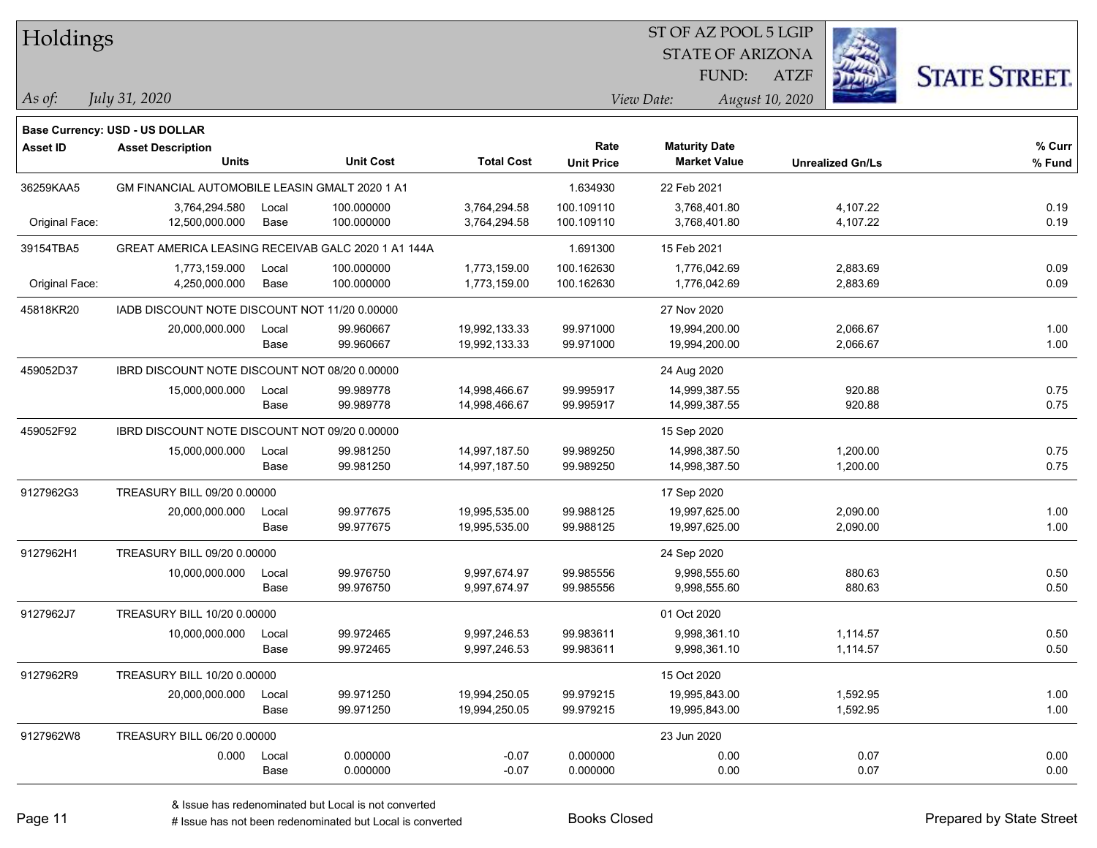| Holdings        |                                                    |       |                  |                   |                   | ST OF AZ POOL 5 LGIP    |                         |                      |
|-----------------|----------------------------------------------------|-------|------------------|-------------------|-------------------|-------------------------|-------------------------|----------------------|
|                 |                                                    |       |                  |                   |                   | <b>STATE OF ARIZONA</b> |                         |                      |
|                 |                                                    |       |                  |                   |                   | FUND:                   | <b>ATZF</b>             | <b>STATE STREET.</b> |
| As of:          | July 31, 2020                                      |       |                  |                   |                   | View Date:              | August 10, 2020         |                      |
|                 | Base Currency: USD - US DOLLAR                     |       |                  |                   |                   |                         |                         |                      |
| <b>Asset ID</b> | <b>Asset Description</b>                           |       |                  |                   | Rate              | <b>Maturity Date</b>    |                         | % Curr               |
|                 | <b>Units</b>                                       |       | <b>Unit Cost</b> | <b>Total Cost</b> | <b>Unit Price</b> | <b>Market Value</b>     | <b>Unrealized Gn/Ls</b> | % Fund               |
| 36259KAA5       | GM FINANCIAL AUTOMOBILE LEASIN GMALT 2020 1 A1     |       |                  |                   | 1.634930          | 22 Feb 2021             |                         |                      |
|                 | 3,764,294.580                                      | Local | 100.000000       | 3,764,294.58      | 100.109110        | 3,768,401.80            | 4,107.22                | 0.19                 |
| Original Face:  | 12,500,000.000                                     | Base  | 100.000000       | 3,764,294.58      | 100.109110        | 3,768,401.80            | 4,107.22                | 0.19                 |
| 39154TBA5       | GREAT AMERICA LEASING RECEIVAB GALC 2020 1 A1 144A |       |                  |                   | 1.691300          | 15 Feb 2021             |                         |                      |
|                 | 1,773,159.000                                      | Local | 100.000000       | 1,773,159.00      | 100.162630        | 1,776,042.69            | 2,883.69                | 0.09                 |
| Original Face:  | 4,250,000.000                                      | Base  | 100.000000       | 1,773,159.00      | 100.162630        | 1,776,042.69            | 2,883.69                | 0.09                 |
| 45818KR20       | IADB DISCOUNT NOTE DISCOUNT NOT 11/20 0.00000      |       |                  |                   |                   | 27 Nov 2020             |                         |                      |
|                 | 20,000,000.000                                     | Local | 99.960667        | 19,992,133.33     | 99.971000         | 19,994,200.00           | 2,066.67                | 1.00                 |
|                 |                                                    | Base  | 99.960667        | 19,992,133.33     | 99.971000         | 19,994,200.00           | 2,066.67                | 1.00                 |
| 459052D37       | IBRD DISCOUNT NOTE DISCOUNT NOT 08/20 0.00000      |       |                  |                   |                   | 24 Aug 2020             |                         |                      |
|                 | 15,000,000.000                                     | Local | 99.989778        | 14,998,466.67     | 99.995917         | 14,999,387.55           | 920.88                  | 0.75                 |
|                 |                                                    | Base  | 99.989778        | 14,998,466.67     | 99.995917         | 14,999,387.55           | 920.88                  | 0.75                 |
| 459052F92       | IBRD DISCOUNT NOTE DISCOUNT NOT 09/20 0.00000      |       |                  |                   |                   | 15 Sep 2020             |                         |                      |
|                 | 15,000,000.000                                     | Local | 99.981250        | 14,997,187.50     | 99.989250         | 14,998,387.50           | 1,200.00                | 0.75                 |
|                 |                                                    | Base  | 99.981250        | 14,997,187.50     | 99.989250         | 14,998,387.50           | 1,200.00                | 0.75                 |
| 9127962G3       | TREASURY BILL 09/20 0.00000                        |       |                  |                   |                   | 17 Sep 2020             |                         |                      |
|                 | 20,000,000.000                                     | Local | 99.977675        | 19,995,535.00     | 99.988125         | 19,997,625.00           | 2,090.00                | 1.00                 |
|                 |                                                    | Base  | 99.977675        | 19,995,535.00     | 99.988125         | 19,997,625.00           | 2,090.00                | 1.00                 |
| 9127962H1       | TREASURY BILL 09/20 0.00000                        |       |                  |                   |                   | 24 Sep 2020             |                         |                      |
|                 | 10,000,000.000                                     | Local | 99.976750        | 9,997,674.97      | 99.985556         | 9,998,555.60            | 880.63                  | 0.50                 |
|                 |                                                    | Base  | 99.976750        | 9,997,674.97      | 99.985556         | 9,998,555.60            | 880.63                  | 0.50                 |
| 9127962J7       | <b>TREASURY BILL 10/20 0.00000</b>                 |       |                  |                   |                   | 01 Oct 2020             |                         |                      |
|                 | 10,000,000.000                                     | Local | 99.972465        | 9,997,246.53      | 99.983611         | 9,998,361.10            | 1,114.57                | 0.50                 |
|                 |                                                    | Base  | 99.972465        | 9,997,246.53      | 99.983611         | 9,998,361.10            | 1,114.57                | 0.50                 |
| 9127962R9       | TREASURY BILL 10/20 0.00000                        |       |                  |                   |                   | 15 Oct 2020             |                         |                      |
|                 | 20,000,000.000                                     | Local | 99.971250        | 19,994,250.05     | 99.979215         | 19,995,843.00           | 1,592.95                | 1.00                 |
|                 |                                                    | Base  | 99.971250        | 19,994,250.05     | 99.979215         | 19,995,843.00           | 1,592.95                | 1.00                 |
| 9127962W8       | TREASURY BILL 06/20 0.00000                        |       |                  |                   |                   | 23 Jun 2020             |                         |                      |
|                 | 0.000                                              | Local | 0.000000         | $-0.07$           | 0.000000          | 0.00                    | 0.07                    | 0.00                 |
|                 |                                                    | Base  | 0.000000         | $-0.07$           | 0.000000          | 0.00                    | 0.07                    | 0.00                 |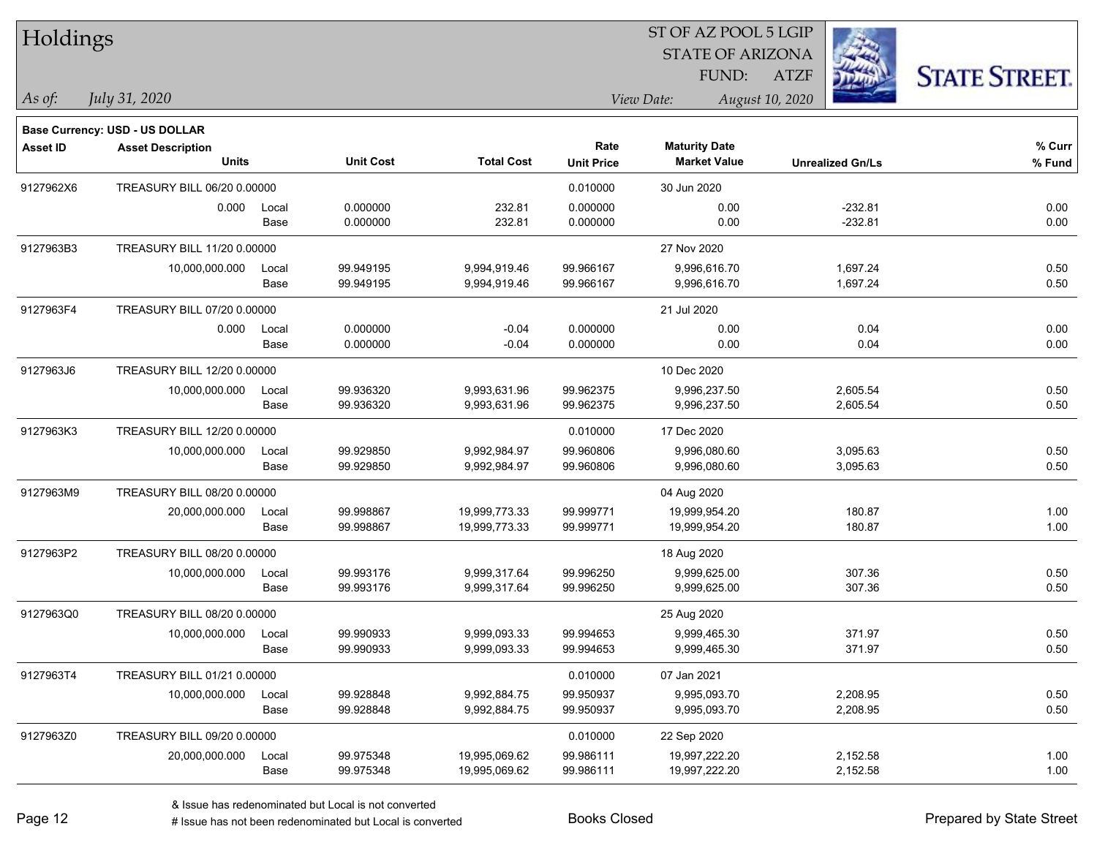| Holdings        |                                |       |                  |                   |                   |                         |                         |                      |
|-----------------|--------------------------------|-------|------------------|-------------------|-------------------|-------------------------|-------------------------|----------------------|
|                 |                                |       |                  |                   |                   | <b>STATE OF ARIZONA</b> |                         |                      |
|                 |                                |       |                  |                   |                   | FUND:                   | <b>ATZF</b>             | <b>STATE STREET.</b> |
| As of:          | July 31, 2020                  |       |                  |                   |                   | View Date:              | August 10, 2020         |                      |
|                 | Base Currency: USD - US DOLLAR |       |                  |                   |                   |                         |                         |                      |
| <b>Asset ID</b> | <b>Asset Description</b>       |       |                  |                   | Rate              | <b>Maturity Date</b>    |                         | % Curr               |
|                 | <b>Units</b>                   |       | <b>Unit Cost</b> | <b>Total Cost</b> | <b>Unit Price</b> | <b>Market Value</b>     | <b>Unrealized Gn/Ls</b> | $%$ Fund             |
| 9127962X6       | TREASURY BILL 06/20 0.00000    |       |                  |                   | 0.010000          | 30 Jun 2020             |                         |                      |
|                 | 0.000                          | Local | 0.000000         | 232.81            | 0.000000          | 0.00                    | $-232.81$               | 0.00                 |
|                 |                                | Base  | 0.000000         | 232.81            | 0.000000          | 0.00                    | $-232.81$               | 0.00                 |
| 9127963B3       | TREASURY BILL 11/20 0.00000    |       |                  |                   |                   | 27 Nov 2020             |                         |                      |
|                 | 10,000,000.000                 | Local | 99.949195        | 9,994,919.46      | 99.966167         | 9,996,616.70            | 1,697.24                | 0.50                 |
|                 |                                | Base  | 99.949195        | 9,994,919.46      | 99.966167         | 9,996,616.70            | 1,697.24                | 0.50                 |
| 9127963F4       | TREASURY BILL 07/20 0.00000    |       |                  |                   |                   | 21 Jul 2020             |                         |                      |
|                 | 0.000                          | Local | 0.000000         | $-0.04$           | 0.000000          | 0.00                    | 0.04                    | 0.00                 |
|                 |                                | Base  | 0.000000         | $-0.04$           | 0.000000          | 0.00                    | 0.04                    | 0.00                 |
| 9127963J6       | TREASURY BILL 12/20 0.00000    |       |                  |                   |                   | 10 Dec 2020             |                         |                      |
|                 | 10,000,000.000                 | Local | 99.936320        | 9,993,631.96      | 99.962375         | 9,996,237.50            | 2,605.54                | 0.50                 |
|                 |                                | Base  | 99.936320        | 9,993,631.96      | 99.962375         | 9,996,237.50            | 2,605.54                | 0.50                 |
| 9127963K3       | TREASURY BILL 12/20 0.00000    |       |                  |                   | 0.010000          | 17 Dec 2020             |                         |                      |
|                 | 10,000,000.000                 | Local | 99.929850        | 9,992,984.97      | 99.960806         | 9,996,080.60            | 3,095.63                | 0.50                 |
|                 |                                | Base  | 99.929850        | 9,992,984.97      | 99.960806         | 9,996,080.60            | 3,095.63                | 0.50                 |
| 9127963M9       | TREASURY BILL 08/20 0.00000    |       |                  |                   |                   | 04 Aug 2020             |                         |                      |
|                 | 20,000,000.000                 | Local | 99.998867        | 19,999,773.33     | 99.999771         | 19,999,954.20           | 180.87                  | 1.00                 |
|                 |                                | Base  | 99.998867        | 19,999,773.33     | 99.999771         | 19,999,954.20           | 180.87                  | 1.00                 |
| 9127963P2       | TREASURY BILL 08/20 0.00000    |       |                  |                   |                   | 18 Aug 2020             |                         |                      |
|                 | 10,000,000.000                 | Local | 99.993176        | 9,999,317.64      | 99.996250         | 9,999,625.00            | 307.36                  | 0.50                 |
|                 |                                | Base  | 99.993176        | 9,999,317.64      | 99.996250         | 9,999,625.00            | 307.36                  | 0.50                 |
| 9127963Q0       | TREASURY BILL 08/20 0.00000    |       |                  |                   |                   | 25 Aug 2020             |                         |                      |
|                 | 10,000,000.000                 | Local | 99.990933        | 9,999,093.33      | 99.994653         | 9,999,465.30            | 371.97                  | 0.50                 |
|                 |                                | Base  | 99.990933        | 9,999,093.33      | 99.994653         | 9,999,465.30            | 371.97                  | 0.50                 |
| 9127963T4       | TREASURY BILL 01/21 0.00000    |       |                  |                   | 0.010000          | 07 Jan 2021             |                         |                      |
|                 | 10,000,000.000                 | Local | 99.928848        | 9,992,884.75      | 99.950937         | 9,995,093.70            | 2,208.95                | 0.50                 |
|                 |                                | Base  | 99.928848        | 9,992,884.75      | 99.950937         | 9,995,093.70            | 2,208.95                | 0.50                 |
| 9127963Z0       | TREASURY BILL 09/20 0.00000    |       |                  |                   | 0.010000          | 22 Sep 2020             |                         |                      |
|                 | 20,000,000.000                 | Local | 99.975348        | 19,995,069.62     | 99.986111         | 19,997,222.20           | 2,152.58                | 1.00                 |
|                 |                                | Base  | 99.975348        | 19,995,069.62     | 99.986111         | 19,997,222.20           | 2,152.58                | 1.00                 |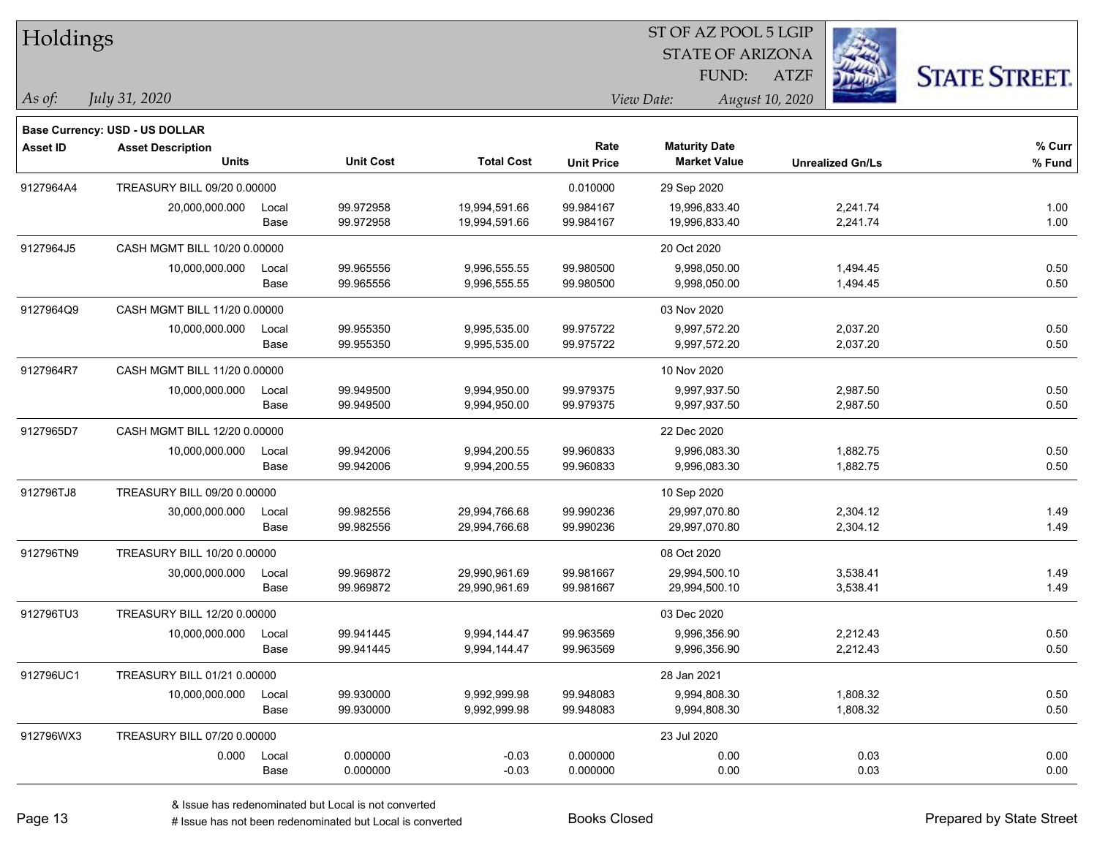| Holdings        |                                |       |                  |                   |                   | ST OF AZ POOL 5 LGIP    |                         |                      |  |
|-----------------|--------------------------------|-------|------------------|-------------------|-------------------|-------------------------|-------------------------|----------------------|--|
|                 |                                |       |                  |                   |                   | <b>STATE OF ARIZONA</b> |                         |                      |  |
|                 |                                |       |                  |                   |                   | <b>FUND:</b>            | <b>ATZF</b>             | <b>STATE STREET.</b> |  |
| $\vert$ As of:  | July 31, 2020                  |       |                  |                   |                   | View Date:              | August 10, 2020         |                      |  |
|                 | Base Currency: USD - US DOLLAR |       |                  |                   |                   |                         |                         |                      |  |
| <b>Asset ID</b> | <b>Asset Description</b>       |       |                  |                   | Rate              | <b>Maturity Date</b>    |                         | % Curr               |  |
|                 | <b>Units</b>                   |       | <b>Unit Cost</b> | <b>Total Cost</b> | <b>Unit Price</b> | <b>Market Value</b>     | <b>Unrealized Gn/Ls</b> | % Fund               |  |
| 9127964A4       | TREASURY BILL 09/20 0.00000    |       |                  |                   | 0.010000          | 29 Sep 2020             |                         |                      |  |
|                 | 20,000,000.000                 | Local | 99.972958        | 19,994,591.66     | 99.984167         | 19,996,833.40           | 2,241.74                | 1.00                 |  |
|                 |                                | Base  | 99.972958        | 19,994,591.66     | 99.984167         | 19,996,833.40           | 2,241.74                | 1.00                 |  |
| 9127964J5       | CASH MGMT BILL 10/20 0.00000   |       |                  |                   |                   | 20 Oct 2020             |                         |                      |  |
|                 | 10,000,000.000                 | Local | 99.965556        | 9,996,555.55      | 99.980500         | 9,998,050.00            | 1,494.45                | 0.50                 |  |
|                 |                                | Base  | 99.965556        | 9,996,555.55      | 99.980500         | 9,998,050.00            | 1,494.45                | 0.50                 |  |
| 9127964Q9       | CASH MGMT BILL 11/20 0.00000   |       |                  |                   |                   | 03 Nov 2020             |                         |                      |  |
|                 | 10,000,000.000                 | Local | 99.955350        | 9,995,535.00      | 99.975722         | 9,997,572.20            | 2,037.20                | 0.50                 |  |
|                 |                                | Base  | 99.955350        | 9,995,535.00      | 99.975722         | 9,997,572.20            | 2,037.20                | 0.50                 |  |
| 9127964R7       | CASH MGMT BILL 11/20 0.00000   |       |                  |                   |                   | 10 Nov 2020             |                         |                      |  |
|                 | 10,000,000.000                 | Local | 99.949500        | 9,994,950.00      | 99.979375         | 9,997,937.50            | 2,987.50                | 0.50                 |  |
|                 |                                | Base  | 99.949500        | 9,994,950.00      | 99.979375         | 9,997,937.50            | 2,987.50                | 0.50                 |  |
| 9127965D7       | CASH MGMT BILL 12/20 0.00000   |       |                  |                   |                   | 22 Dec 2020             |                         |                      |  |
|                 | 10,000,000.000                 | Local | 99.942006        | 9,994,200.55      | 99.960833         | 9,996,083.30            | 1,882.75                | 0.50                 |  |
|                 |                                | Base  | 99.942006        | 9,994,200.55      | 99.960833         | 9,996,083.30            | 1,882.75                | 0.50                 |  |
| 912796TJ8       | TREASURY BILL 09/20 0.00000    |       |                  |                   |                   | 10 Sep 2020             |                         |                      |  |
|                 | 30,000,000.000                 | Local | 99.982556        | 29,994,766.68     | 99.990236         | 29,997,070.80           | 2,304.12                | 1.49                 |  |
|                 |                                | Base  | 99.982556        | 29,994,766.68     | 99.990236         | 29,997,070.80           | 2,304.12                | 1.49                 |  |
| 912796TN9       | TREASURY BILL 10/20 0.00000    |       |                  |                   |                   | 08 Oct 2020             |                         |                      |  |
|                 | 30,000,000.000                 | Local | 99.969872        | 29,990,961.69     | 99.981667         | 29,994,500.10           | 3,538.41                | 1.49                 |  |
|                 |                                | Base  | 99.969872        | 29,990,961.69     | 99.981667         | 29,994,500.10           | 3,538.41                | 1.49                 |  |
| 912796TU3       | TREASURY BILL 12/20 0.00000    |       |                  |                   |                   | 03 Dec 2020             |                         |                      |  |
|                 | 10,000,000.000                 | Local | 99.941445        | 9,994,144.47      | 99.963569         | 9,996,356.90            | 2,212.43                | 0.50                 |  |
|                 |                                | Base  | 99.941445        | 9,994,144.47      | 99.963569         | 9,996,356.90            | 2,212.43                | 0.50                 |  |
| 912796UC1       | TREASURY BILL 01/21 0.00000    |       |                  |                   |                   | 28 Jan 2021             |                         |                      |  |
|                 | 10,000,000.000                 | Local | 99.930000        | 9,992,999.98      | 99.948083         | 9,994,808.30            | 1,808.32                | 0.50                 |  |
|                 |                                | Base  | 99.930000        | 9,992,999.98      | 99.948083         | 9,994,808.30            | 1,808.32                | 0.50                 |  |
| 912796WX3       | TREASURY BILL 07/20 0.00000    |       |                  |                   |                   | 23 Jul 2020             |                         |                      |  |
|                 | 0.000                          | Local | 0.000000         | $-0.03$           | 0.000000          | 0.00                    | 0.03                    | 0.00                 |  |
|                 |                                | Base  | 0.000000         | $-0.03$           | 0.000000          | 0.00                    | 0.03                    | 0.00                 |  |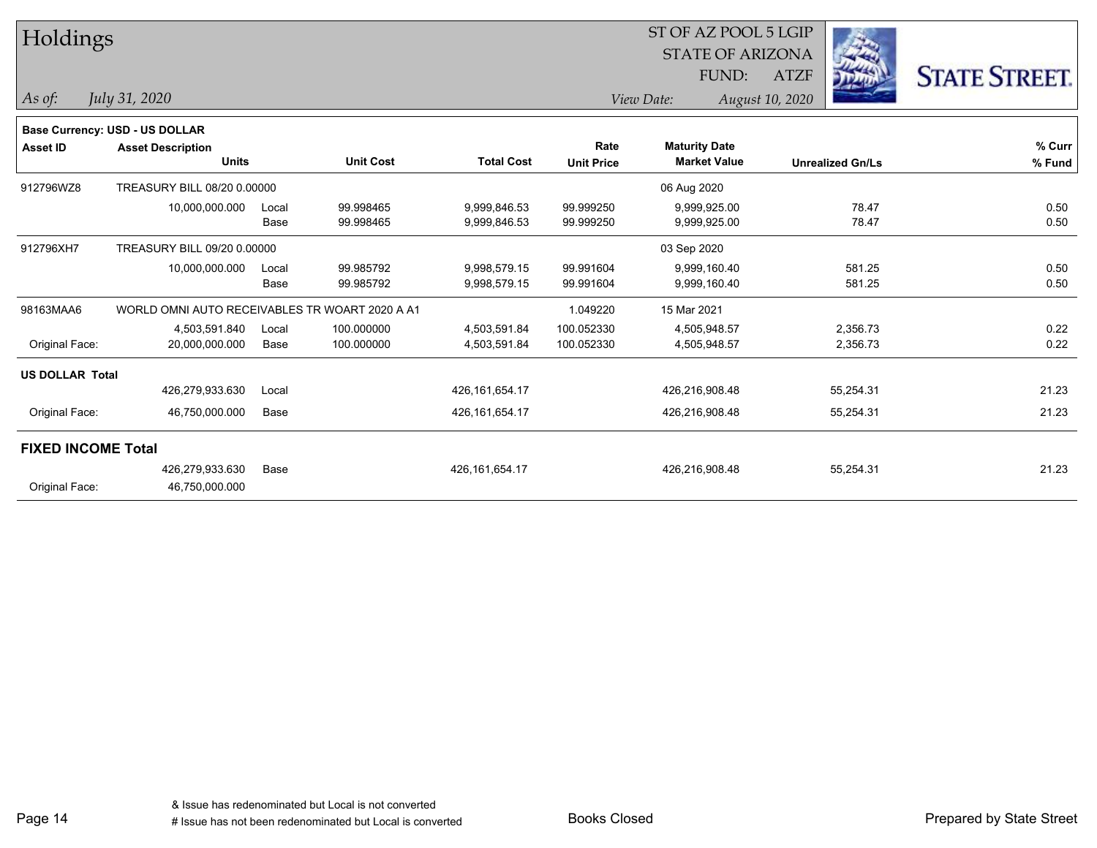| Holdings                  |                                                |       |                  |                   | ST OF AZ POOL 5 LGIP<br><b>STATE OF ARIZONA</b> |                      |                 |                         |                      |
|---------------------------|------------------------------------------------|-------|------------------|-------------------|-------------------------------------------------|----------------------|-----------------|-------------------------|----------------------|
|                           |                                                |       |                  |                   |                                                 |                      |                 |                         |                      |
|                           |                                                |       |                  |                   |                                                 | FUND:                | <b>ATZF</b>     |                         | <b>STATE STREET.</b> |
| As of:                    | July 31, 2020                                  |       |                  |                   |                                                 | View Date:           | August 10, 2020 |                         |                      |
|                           |                                                |       |                  |                   |                                                 |                      |                 |                         |                      |
|                           | Base Currency: USD - US DOLLAR                 |       |                  |                   |                                                 |                      |                 |                         |                      |
| <b>Asset ID</b>           | <b>Asset Description</b>                       |       |                  |                   | Rate                                            | <b>Maturity Date</b> |                 |                         | % Curr               |
|                           | <b>Units</b>                                   |       | <b>Unit Cost</b> | <b>Total Cost</b> | <b>Unit Price</b>                               | <b>Market Value</b>  |                 | <b>Unrealized Gn/Ls</b> | % Fund               |
| 912796WZ8                 | TREASURY BILL 08/20 0.00000                    |       |                  |                   |                                                 | 06 Aug 2020          |                 |                         |                      |
|                           | 10,000,000.000                                 | Local | 99.998465        | 9,999,846.53      | 99.999250                                       | 9,999,925.00         |                 | 78.47                   | 0.50                 |
|                           |                                                | Base  | 99.998465        | 9,999,846.53      | 99.999250                                       | 9,999,925.00         |                 | 78.47                   | 0.50                 |
| 912796XH7                 | TREASURY BILL 09/20 0.00000                    |       |                  |                   |                                                 | 03 Sep 2020          |                 |                         |                      |
|                           | 10,000,000.000                                 | Local | 99.985792        | 9,998,579.15      | 99.991604                                       | 9,999,160.40         |                 | 581.25                  | 0.50                 |
|                           |                                                | Base  | 99.985792        | 9,998,579.15      | 99.991604                                       | 9,999,160.40         |                 | 581.25                  | 0.50                 |
| 98163MAA6                 | WORLD OMNI AUTO RECEIVABLES TR WOART 2020 A A1 |       |                  |                   | 1.049220                                        | 15 Mar 2021          |                 |                         |                      |
|                           | 4,503,591.840                                  | Local | 100.000000       | 4,503,591.84      | 100.052330                                      | 4,505,948.57         |                 | 2,356.73                | 0.22                 |
| Original Face:            | 20,000,000.000                                 | Base  | 100.000000       | 4,503,591.84      | 100.052330                                      | 4,505,948.57         |                 | 2,356.73                | 0.22                 |
| <b>US DOLLAR Total</b>    |                                                |       |                  |                   |                                                 |                      |                 |                         |                      |
|                           | 426,279,933.630                                | Local |                  | 426, 161, 654. 17 |                                                 | 426,216,908.48       |                 | 55,254.31               | 21.23                |
| Original Face:            | 46,750,000.000                                 | Base  |                  | 426, 161, 654. 17 |                                                 | 426,216,908.48       |                 | 55,254.31               | 21.23                |
| <b>FIXED INCOME Total</b> |                                                |       |                  |                   |                                                 |                      |                 |                         |                      |
|                           | 426,279,933.630                                | Base  |                  | 426,161,654.17    |                                                 | 426,216,908.48       |                 | 55,254.31               | 21.23                |
| Original Face:            | 46,750,000.000                                 |       |                  |                   |                                                 |                      |                 |                         |                      |
|                           |                                                |       |                  |                   |                                                 |                      |                 |                         |                      |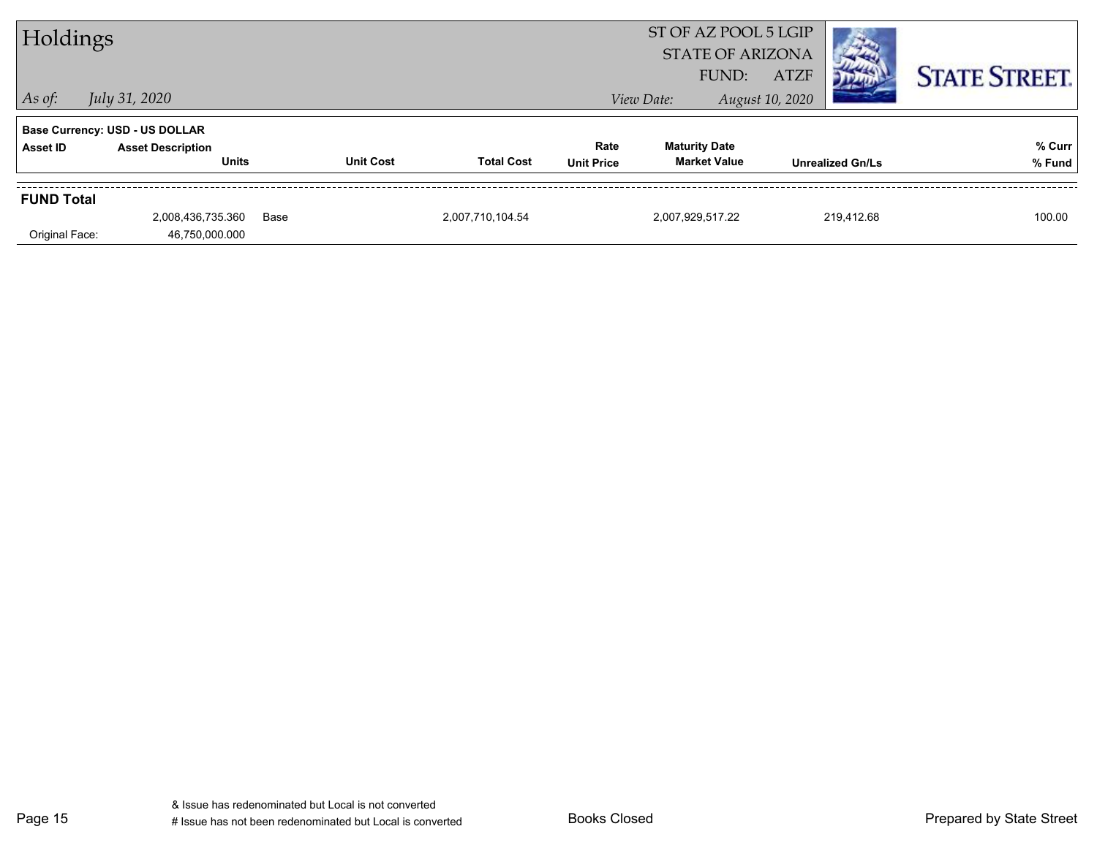| Holdings          |                                          |      |                  |                   | ST OF AZ POOL 5 LGIP<br><b>STATE OF ARIZONA</b><br><b>ATZF</b><br>FUND: |                                             |                 |                         | <b>STATE STREET.</b> |
|-------------------|------------------------------------------|------|------------------|-------------------|-------------------------------------------------------------------------|---------------------------------------------|-----------------|-------------------------|----------------------|
| $ $ As of:        | <i>July 31, 2020</i>                     |      |                  |                   |                                                                         | View Date:                                  | August 10, 2020 |                         |                      |
|                   | <b>Base Currency: USD - US DOLLAR</b>    |      |                  |                   |                                                                         |                                             |                 |                         |                      |
| Asset ID          | <b>Asset Description</b><br><b>Units</b> |      | <b>Unit Cost</b> | <b>Total Cost</b> | Rate<br><b>Unit Price</b>                                               | <b>Maturity Date</b><br><b>Market Value</b> |                 | <b>Unrealized Gn/Ls</b> | % Curr<br>% Fund     |
| <b>FUND Total</b> |                                          |      |                  |                   |                                                                         |                                             |                 |                         |                      |
| Original Face:    | 2,008,436,735.360<br>46,750,000.000      | Base |                  | 2,007,710,104.54  |                                                                         | 2,007,929,517.22                            |                 | 219,412.68              | 100.00               |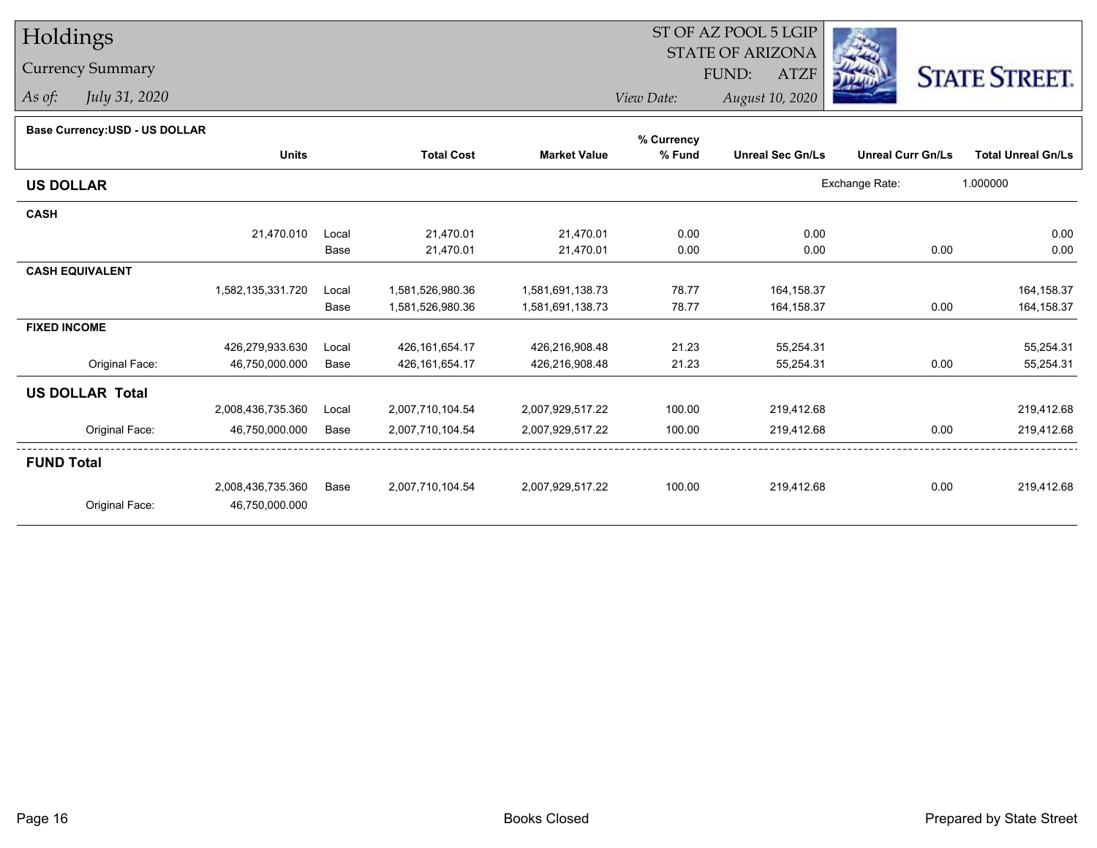## Holdings

## Currency Summary

*As of: July 31, 2020*

## ST OF AZ POOL 5 LGIP STATE OF ARIZONAATZF FUND:



*View Date:August 10, 2020*

| Base Currency: USD - US DOLLAR |  |
|--------------------------------|--|
|--------------------------------|--|

| Dase Currency.OOD - OO DOLLAR |                   |       |                   |                     | % Currency |                         |                          |                           |
|-------------------------------|-------------------|-------|-------------------|---------------------|------------|-------------------------|--------------------------|---------------------------|
|                               | <b>Units</b>      |       | <b>Total Cost</b> | <b>Market Value</b> | % Fund     | <b>Unreal Sec Gn/Ls</b> | <b>Unreal Curr Gn/Ls</b> | <b>Total Unreal Gn/Ls</b> |
| <b>US DOLLAR</b>              |                   |       |                   |                     |            |                         | Exchange Rate:           | 1.000000                  |
| <b>CASH</b>                   |                   |       |                   |                     |            |                         |                          |                           |
|                               | 21,470.010        | Local | 21,470.01         | 21,470.01           | 0.00       | 0.00                    |                          | 0.00                      |
|                               |                   | Base  | 21,470.01         | 21,470.01           | 0.00       | 0.00                    | 0.00                     | 0.00                      |
| <b>CASH EQUIVALENT</b>        |                   |       |                   |                     |            |                         |                          |                           |
|                               | 1,582,135,331.720 | Local | 1,581,526,980.36  | 1,581,691,138.73    | 78.77      | 164, 158.37             |                          | 164, 158.37               |
|                               |                   | Base  | 1,581,526,980.36  | 1,581,691,138.73    | 78.77      | 164, 158.37             | 0.00                     | 164,158.37                |
| <b>FIXED INCOME</b>           |                   |       |                   |                     |            |                         |                          |                           |
|                               | 426,279,933.630   | Local | 426, 161, 654. 17 | 426,216,908.48      | 21.23      | 55,254.31               |                          | 55,254.31                 |
| Original Face:                | 46,750,000.000    | Base  | 426, 161, 654. 17 | 426,216,908.48      | 21.23      | 55,254.31               | 0.00                     | 55,254.31                 |
| <b>US DOLLAR Total</b>        |                   |       |                   |                     |            |                         |                          |                           |
|                               | 2,008,436,735.360 | Local | 2,007,710,104.54  | 2,007,929,517.22    | 100.00     | 219,412.68              |                          | 219,412.68                |
| Original Face:                | 46,750,000.000    | Base  | 2,007,710,104.54  | 2,007,929,517.22    | 100.00     | 219,412.68              | 0.00                     | 219,412.68                |
| <b>FUND Total</b>             |                   |       |                   |                     |            |                         |                          |                           |
|                               | 2,008,436,735.360 | Base  | 2,007,710,104.54  | 2,007,929,517.22    | 100.00     | 219,412.68              | 0.00                     | 219,412.68                |
| Original Face:                | 46,750,000.000    |       |                   |                     |            |                         |                          |                           |
|                               |                   |       |                   |                     |            |                         |                          |                           |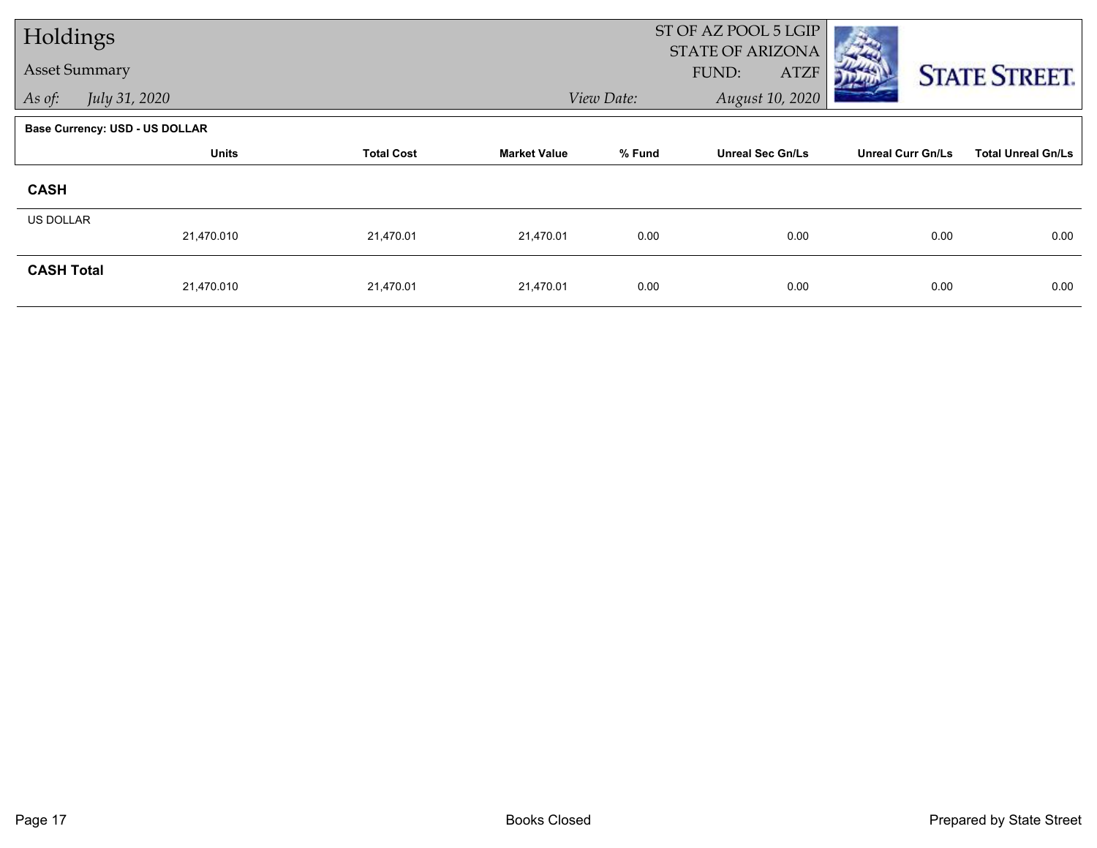| Holdings             |                                       |                   |                     | ST OF AZ POOL 5 LGIP<br><b>STATE OF ARIZONA</b> |                         |                          |                           |  |
|----------------------|---------------------------------------|-------------------|---------------------|-------------------------------------------------|-------------------------|--------------------------|---------------------------|--|
| <b>Asset Summary</b> |                                       |                   |                     |                                                 | FUND:<br><b>ATZF</b>    |                          | <b>STATE STREET.</b>      |  |
| As of:               | July 31, 2020                         |                   |                     | View Date:                                      | August 10, 2020         |                          |                           |  |
|                      | <b>Base Currency: USD - US DOLLAR</b> |                   |                     |                                                 |                         |                          |                           |  |
|                      | <b>Units</b>                          | <b>Total Cost</b> | <b>Market Value</b> | % Fund                                          | <b>Unreal Sec Gn/Ls</b> | <b>Unreal Curr Gn/Ls</b> | <b>Total Unreal Gn/Ls</b> |  |
| <b>CASH</b>          |                                       |                   |                     |                                                 |                         |                          |                           |  |
| <b>US DOLLAR</b>     | 21,470.010                            | 21,470.01         | 21,470.01           | 0.00                                            | 0.00                    | 0.00                     | 0.00                      |  |
|                      |                                       |                   |                     |                                                 |                         |                          |                           |  |
| <b>CASH Total</b>    | 21,470.010                            | 21,470.01         | 21,470.01           | 0.00                                            | 0.00                    | 0.00                     | 0.00                      |  |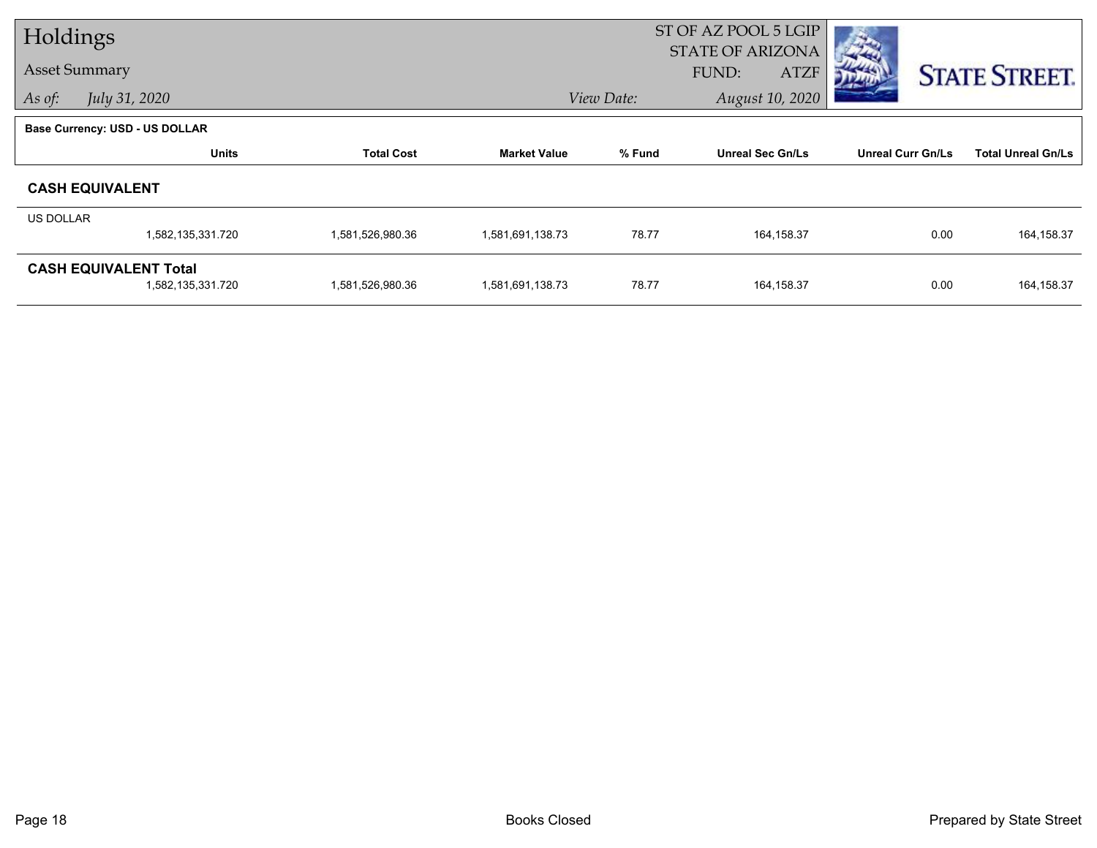| Holdings         |                                                   |                   |                     | ST OF AZ POOL 5 LGIP<br><b>STATE OF ARIZONA</b> |                         |                          |                           |  |
|------------------|---------------------------------------------------|-------------------|---------------------|-------------------------------------------------|-------------------------|--------------------------|---------------------------|--|
|                  | <b>Asset Summary</b>                              |                   |                     |                                                 | FUND:<br><b>ATZF</b>    |                          | <b>STATE STREET.</b>      |  |
| As of:           | July 31, 2020                                     |                   |                     | View Date:                                      | August 10, 2020         |                          |                           |  |
|                  | <b>Base Currency: USD - US DOLLAR</b>             |                   |                     |                                                 |                         |                          |                           |  |
|                  | <b>Units</b>                                      | <b>Total Cost</b> | <b>Market Value</b> | % Fund                                          | <b>Unreal Sec Gn/Ls</b> | <b>Unreal Curr Gn/Ls</b> | <b>Total Unreal Gn/Ls</b> |  |
|                  | <b>CASH EQUIVALENT</b>                            |                   |                     |                                                 |                         |                          |                           |  |
| <b>US DOLLAR</b> |                                                   |                   |                     |                                                 |                         |                          |                           |  |
|                  | 1,582,135,331.720                                 | 1,581,526,980.36  | 1,581,691,138.73    | 78.77                                           | 164,158.37              | 0.00                     | 164,158.37                |  |
|                  | <b>CASH EQUIVALENT Total</b><br>1,582,135,331.720 | 1,581,526,980.36  | 1,581,691,138.73    | 78.77                                           | 164,158.37              | 0.00                     | 164,158.37                |  |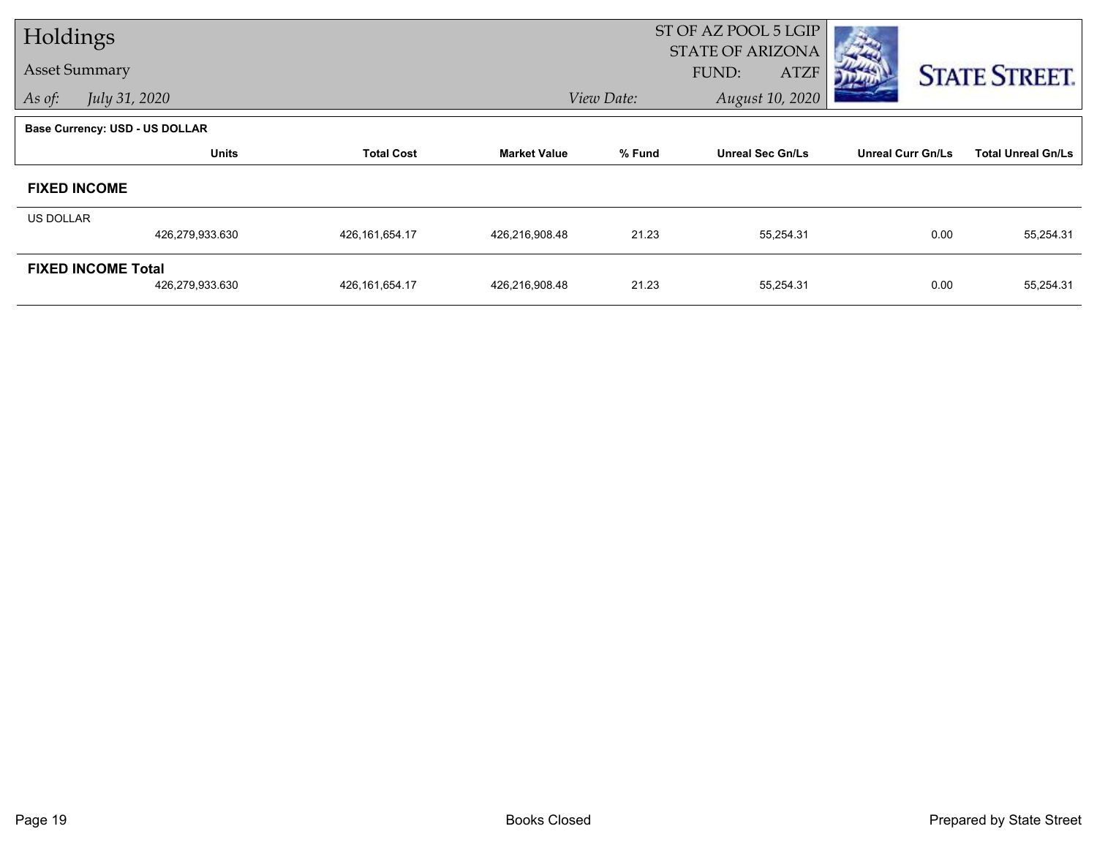| Holdings                  |                                       |                   |                     | ST OF AZ POOL 5 LGIP<br><b>STATE OF ARIZONA</b> |                         |                          |                           |  |
|---------------------------|---------------------------------------|-------------------|---------------------|-------------------------------------------------|-------------------------|--------------------------|---------------------------|--|
| <b>Asset Summary</b>      |                                       |                   |                     |                                                 | FUND:<br><b>ATZF</b>    |                          | <b>STATE STREET.</b>      |  |
| As of:                    | July 31, 2020                         |                   |                     | View Date:                                      | August 10, 2020         |                          |                           |  |
|                           | <b>Base Currency: USD - US DOLLAR</b> |                   |                     |                                                 |                         |                          |                           |  |
|                           | <b>Units</b>                          | <b>Total Cost</b> | <b>Market Value</b> | % Fund                                          | <b>Unreal Sec Gn/Ls</b> | <b>Unreal Curr Gn/Ls</b> | <b>Total Unreal Gn/Ls</b> |  |
| <b>FIXED INCOME</b>       |                                       |                   |                     |                                                 |                         |                          |                           |  |
| US DOLLAR                 |                                       |                   |                     |                                                 |                         |                          |                           |  |
|                           | 426,279,933.630                       | 426, 161, 654. 17 | 426,216,908.48      | 21.23                                           | 55,254.31               | 0.00                     | 55,254.31                 |  |
| <b>FIXED INCOME Total</b> |                                       |                   |                     |                                                 |                         |                          |                           |  |
|                           | 426,279,933.630                       | 426,161,654.17    | 426,216,908.48      | 21.23                                           | 55,254.31               | 0.00                     | 55,254.31                 |  |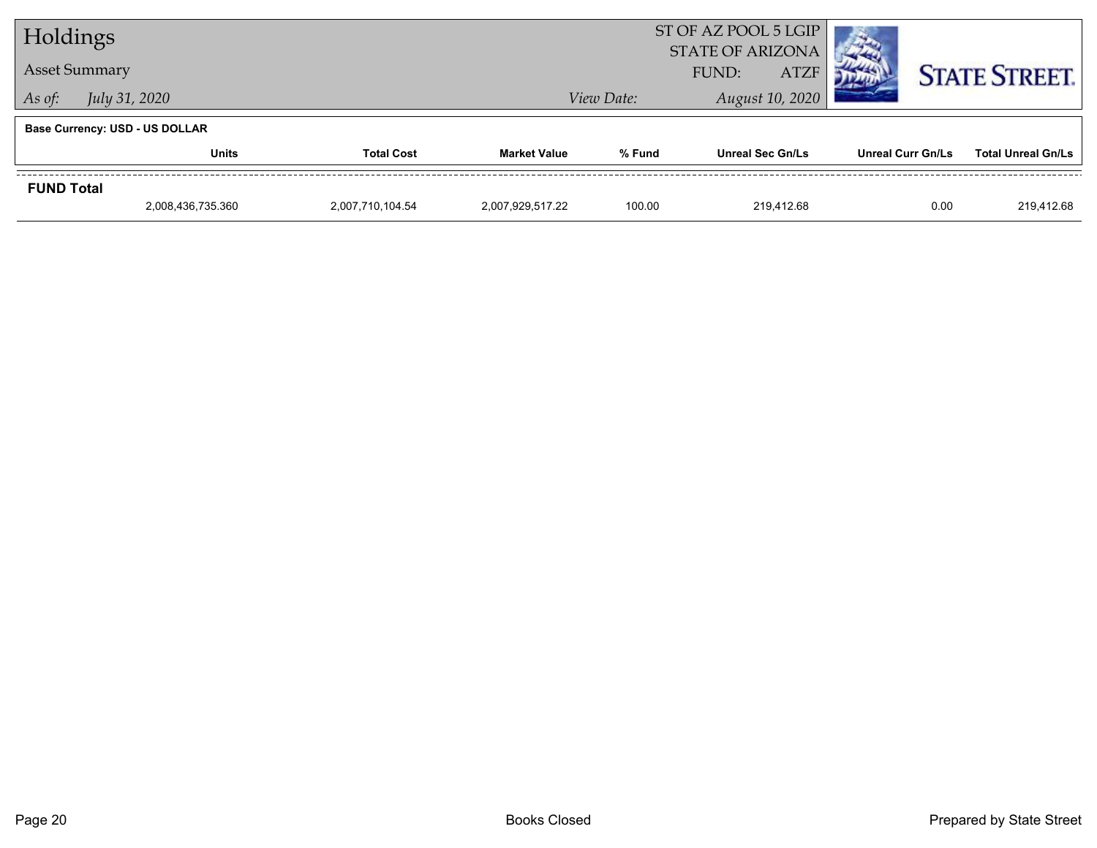| Holdings          |                                       |                   |                     |            | ST OF AZ POOL 5 LGIP<br><b>STATE OF ARIZONA</b> |                          |                           |  |
|-------------------|---------------------------------------|-------------------|---------------------|------------|-------------------------------------------------|--------------------------|---------------------------|--|
|                   | <b>Asset Summary</b>                  |                   |                     |            | <b>ATZF</b><br>FUND:                            |                          | <b>STATE STREET.</b>      |  |
| As of:            | <i>July 31, 2020</i>                  |                   |                     | View Date: | August 10, 2020                                 |                          |                           |  |
|                   | <b>Base Currency: USD - US DOLLAR</b> |                   |                     |            |                                                 |                          |                           |  |
|                   | <b>Units</b>                          | <b>Total Cost</b> | <b>Market Value</b> | % Fund     | <b>Unreal Sec Gn/Ls</b>                         | <b>Unreal Curr Gn/Ls</b> | <b>Total Unreal Gn/Ls</b> |  |
| <b>FUND Total</b> |                                       |                   |                     |            |                                                 |                          |                           |  |
|                   | 2,008,436,735.360                     | 2,007,710,104.54  | 2,007,929,517.22    | 100.00     | 219.412.68                                      | 0.00                     | 219.412.68                |  |